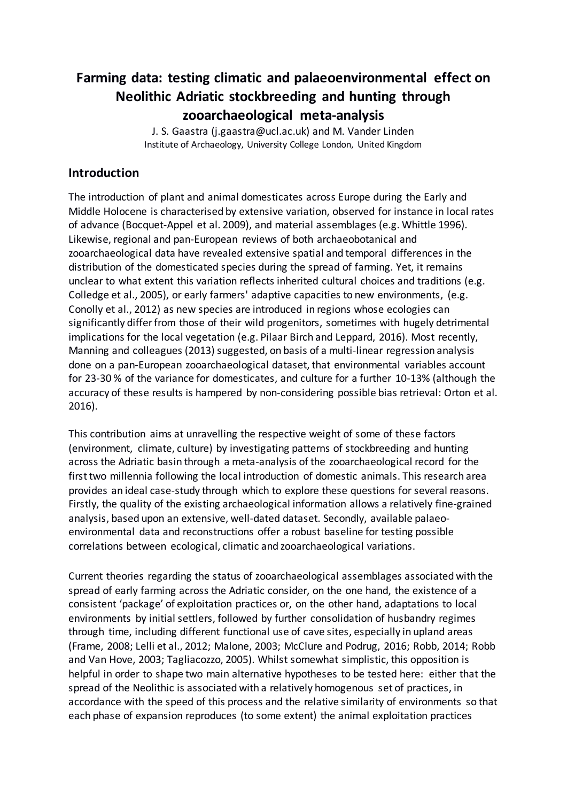# **Farming data: testing climatic and palaeoenvironmental effect on Neolithic Adriatic stockbreeding and hunting through zooarchaeological meta-analysis**

J. S. Gaastra (j.gaastra@ucl.ac.uk) and M. Vander Linden Institute of Archaeology, University College London, United Kingdom

## **Introduction**

The introduction of plant and animal domesticates across Europe during the Early and Middle Holocene is characterised by extensive variation, observed for instance in local rates of advance (Bocquet-Appel et al. 2009), and material assemblages (e.g. Whittle 1996). Likewise, regional and pan-European reviews of both archaeobotanical and zooarchaeological data have revealed extensive spatial and temporal differences in the distribution of the domesticated species during the spread of farming. Yet, it remains unclear to what extent this variation reflects inherited cultural choices and traditions (e.g. Colledge et al., 2005), or early farmers' adaptive capacities to new environments, (e.g. Conolly et al., 2012) as new species are introduced in regions whose ecologies can significantly differ from those of their wild progenitors, sometimes with hugely detrimental implications for the local vegetation (e.g. Pilaar Birch and Leppard, 2016). Most recently, Manning and colleagues (2013) suggested, on basis of a multi-linear regression analysis done on a pan-European zooarchaeological dataset, that environmental variables account for 23-30 % of the variance for domesticates, and culture for a further 10-13% (although the accuracy of these results is hampered by non-considering possible bias retrieval: Orton et al. 2016).

This contribution aims at unravelling the respective weight of some of these factors (environment, climate, culture) by investigating patterns of stockbreeding and hunting across the Adriatic basin through a meta-analysis of the zooarchaeological record for the first two millennia following the local introduction of domestic animals. This research area provides an ideal case-study through which to explore these questions for several reasons. Firstly, the quality of the existing archaeological information allows a relatively fine-grained analysis, based upon an extensive, well-dated dataset. Secondly, available palaeoenvironmental data and reconstructions offer a robust baseline for testing possible correlations between ecological, climatic and zooarchaeological variations.

Current theories regarding the status of zooarchaeological assemblages associated with the spread of early farming across the Adriatic consider, on the one hand, the existence of a consistent 'package' of exploitation practices or, on the other hand, adaptations to local environments by initial settlers, followed by further consolidation of husbandry regimes through time, including different functional use of cave sites, especially in upland areas (Frame, 2008; Lelli et al., 2012; Malone, 2003; McClure and Podrug, 2016; Robb, 2014; Robb and Van Hove, 2003; Tagliacozzo, 2005). Whilst somewhat simplistic, this opposition is helpful in order to shape two main alternative hypotheses to be tested here: either that the spread of the Neolithic is associated with a relatively homogenous set of practices, in accordance with the speed of this process and the relative similarity of environments so that each phase of expansion reproduces (to some extent) the animal exploitation practices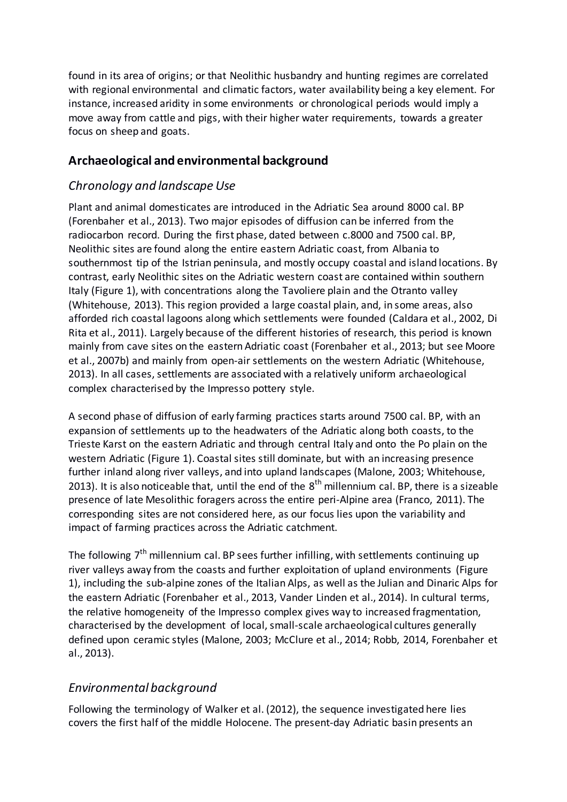found in its area of origins; or that Neolithic husbandry and hunting regimes are correlated with regional environmental and climatic factors, water availability being a key element. For instance, increased aridity in some environments or chronological periods would imply a move away from cattle and pigs, with their higher water requirements, towards a greater focus on sheep and goats.

## **Archaeological and environmental background**

# *Chronology and landscape Use*

Plant and animal domesticates are introduced in the Adriatic Sea around 8000 cal. BP (Forenbaher et al., 2013). Two major episodes of diffusion can be inferred from the radiocarbon record. During the first phase, dated between c.8000 and 7500 cal. BP, Neolithic sites are found along the entire eastern Adriatic coast, from Albania to southernmost tip of the Istrian peninsula, and mostly occupy coastal and island locations. By contrast, early Neolithic sites on the Adriatic western coast are contained within southern Italy (Figure 1), with concentrations along the Tavoliere plain and the Otranto valley (Whitehouse, 2013). This region provided a large coastal plain, and, in some areas, also afforded rich coastal lagoons along which settlements were founded (Caldara et al., 2002, Di Rita et al., 2011). Largely because of the different histories of research, this period is known mainly from cave sites on the eastern Adriatic coast (Forenbaher et al., 2013; but see Moore et al., 2007b) and mainly from open-air settlements on the western Adriatic (Whitehouse, 2013). In all cases, settlements are associated with a relatively uniform archaeological complex characterised by the Impresso pottery style.

A second phase of diffusion of early farming practices starts around 7500 cal. BP, with an expansion of settlements up to the headwaters of the Adriatic along both coasts, to the Trieste Karst on the eastern Adriatic and through central Italy and onto the Po plain on the western Adriatic (Figure 1). Coastal sites still dominate, but with an increasing presence further inland along river valleys, and into upland landscapes (Malone, 2003; Whitehouse, 2013). It is also noticeable that, until the end of the  $8<sup>th</sup>$  millennium cal. BP, there is a sizeable presence of late Mesolithic foragers across the entire peri-Alpine area (Franco, 2011). The corresponding sites are not considered here, as our focus lies upon the variability and impact of farming practices across the Adriatic catchment.

The following  $7<sup>th</sup>$  millennium cal. BP sees further infilling, with settlements continuing up river valleys away from the coasts and further exploitation of upland environments (Figure 1), including the sub-alpine zones of the Italian Alps, as well as the Julian and Dinaric Alps for the eastern Adriatic (Forenbaher et al., 2013, Vander Linden et al., 2014). In cultural terms, the relative homogeneity of the Impresso complex gives way to increased fragmentation, characterised by the development of local, small-scale archaeological cultures generally defined upon ceramic styles (Malone, 2003; McClure et al., 2014; Robb, 2014, Forenbaher et al., 2013).

# *Environmental background*

Following the terminology of Walker et al. (2012), the sequence investigated here lies covers the first half of the middle Holocene. The present-day Adriatic basin presents an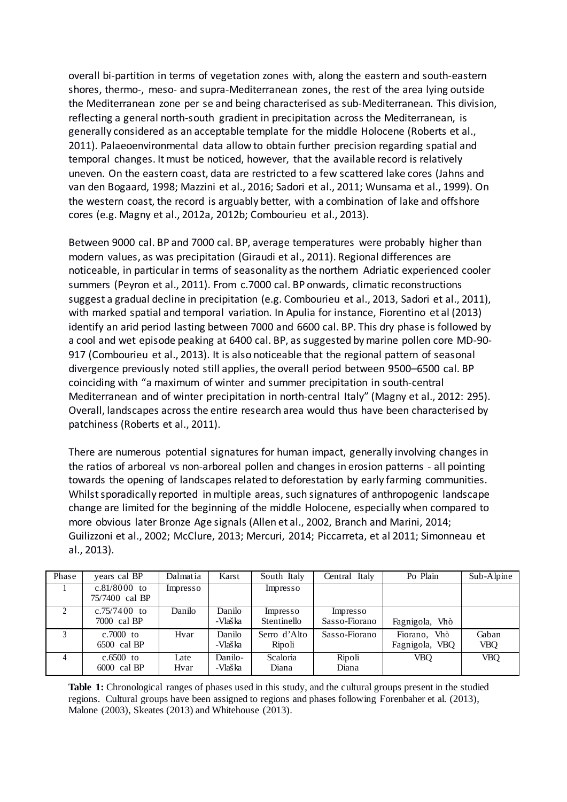overall bi-partition in terms of vegetation zones with, along the eastern and south-eastern shores, thermo-, meso- and supra-Mediterranean zones, the rest of the area lying outside the Mediterranean zone per se and being characterised as sub-Mediterranean. This division, reflecting a general north-south gradient in precipitation across the Mediterranean, is generally considered as an acceptable template for the middle Holocene (Roberts et al., 2011). Palaeoenvironmental data allow to obtain further precision regarding spatial and temporal changes. It must be noticed, however, that the available record is relatively uneven. On the eastern coast, data are restricted to a few scattered lake cores (Jahns and van den Bogaard, 1998; Mazzini et al., 2016; Sadori et al., 2011; Wunsama et al., 1999). On the western coast, the record is arguably better, with a combination of lake and offshore cores (e.g. Magny et al., 2012a, 2012b; Combourieu et al., 2013).

Between 9000 cal. BP and 7000 cal. BP, average temperatures were probably higher than modern values, as was precipitation (Giraudi et al., 2011). Regional differences are noticeable, in particular in terms of seasonality as the northern Adriatic experienced cooler summers (Peyron et al., 2011). From c.7000 cal. BP onwards, climatic reconstructions suggest a gradual decline in precipitation (e.g. Combourieu et al., 2013, Sadori et al., 2011), with marked spatial and temporal variation. In Apulia for instance, Fiorentino et al (2013) identify an arid period lasting between 7000 and 6600 cal. BP. This dry phase is followed by a cool and wet episode peaking at 6400 cal. BP, as suggested by marine pollen core MD-90- 917 (Combourieu et al., 2013). It is also noticeable that the regional pattern of seasonal divergence previously noted still applies, the overall period between 9500–6500 cal. BP coinciding with "a maximum of winter and summer precipitation in south-central Mediterranean and of winter precipitation in north-central Italy" (Magny et al., 2012: 295). Overall, landscapes across the entire research area would thus have been characterised by patchiness (Roberts et al., 2011).

There are numerous potential signatures for human impact, generally involving changes in the ratios of arboreal vs non-arboreal pollen and changes in erosion patterns - all pointing towards the opening of landscapes related to deforestation by early farming communities. Whilst sporadically reported in multiple areas, such signatures of anthropogenic landscape change are limited for the beginning of the middle Holocene, especially when compared to more obvious later Bronze Age signals (Allen et al., 2002, Branch and Marini, 2014; Guilizzoni et al., 2002; McClure, 2013; Mercuri, 2014; Piccarreta, et al 2011; Simonneau et al., 2013).

| Phase          | vears cal BP                     | Dalmatia     | Karst              | South Italy             | Central Italy             | Po Plain                          | Sub-Alpine   |
|----------------|----------------------------------|--------------|--------------------|-------------------------|---------------------------|-----------------------------------|--------------|
|                | $c.81/8000$ to<br>75/7400 cal BP | Impresso     |                    | Impresso                |                           |                                   |              |
| $\mathfrak{D}$ | c.75/7400 to<br>7000 cal BP      | Danilo       | Danilo<br>-Vlaška  | Impresso<br>Stentinello | Impresso<br>Sasso-Fiorano | Fagnigola, Vhò                    |              |
| $\mathbf{r}$   | $c.7000$ to<br>6500 cal BP       | Hvar         | Danilo<br>-Vlaška  | Serro d'Alto<br>Ripoli  | Sasso-Fiorano             | Fiorano,<br>Vhò<br>Fagnigola, VBQ | Gaban<br>VBQ |
| 4              | $c.6500$ to<br>6000 cal BP       | Late<br>Hvar | Danilo-<br>-Vlaška | Scaloria<br>Diana       | Ripoli<br>Diana           | VBO                               | <b>VBQ</b>   |

**Table 1:** Chronological ranges of phases used in this study, and the cultural groups present in the studied regions. Cultural groups have been assigned to regions and phases following Forenbaher et al. (2013), Malone (2003), Skeates (2013) and Whitehouse (2013).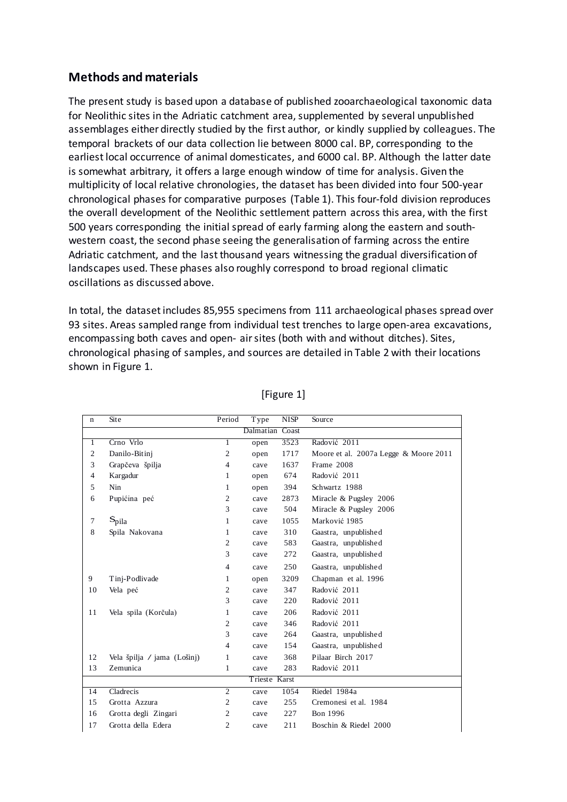## **Methods and materials**

The present study is based upon a database of published zooarchaeological taxonomic data for Neolithic sites in the Adriatic catchment area, supplemented by several unpublished assemblages either directly studied by the first author, or kindly supplied by colleagues. The temporal brackets of our data collection lie between 8000 cal. BP, corresponding to the earliest local occurrence of animal domesticates, and 6000 cal. BP. Although the latter date is somewhat arbitrary, it offers a large enough window of time for analysis. Given the multiplicity of local relative chronologies, the dataset has been divided into four 500-year chronological phases for comparative purposes (Table 1). This four-fold division reproduces the overall development of the Neolithic settlement pattern across this area, with the first 500 years corresponding the initial spread of early farming along the eastern and southwestern coast, the second phase seeing the generalisation of farming across the entire Adriatic catchment, and the last thousand years witnessing the gradual diversification of landscapes used. These phases also roughly correspond to broad regional climatic oscillations as discussed above.

In total, the dataset includes 85,955 specimens from 111 archaeological phases spread over 93 sites. Areas sampled range from individual test trenches to large open-area excavations, encompassing both caves and open- air sites (both with and without ditches). Sites, chronological phasing of samples, and sources are detailed in Table 2 with their locations shown in Figure 1.

| n               | Site                        | Period         | Type | <b>NISP</b> | Source                                |
|-----------------|-----------------------------|----------------|------|-------------|---------------------------------------|
| Dalmatian Coast |                             |                |      |             |                                       |
| 1               | Crno Vrlo                   | 1              | open | 3523        | Radović 2011                          |
| $\overline{c}$  | Danilo-Bitinj               | $\mathfrak{2}$ | open | 1717        | Moore et al. 2007a Legge & Moore 2011 |
| 3               | Grapčeva špilja             | 4              | cave | 1637        | Frame 2008                            |
| 4               | Kargadur                    | 1              | open | 674         | Radović 2011                          |
| 5               | Nin                         | 1              | open | 394         | Schwartz 1988                         |
| 6               | Pupićina peć                | $\overline{c}$ | cave | 2873        | Miracle & Pugsley 2006                |
|                 |                             | 3              | cave | 504         | Miracle & Pugsley 2006                |
| 7               | $S_{pila}$                  | 1              | cave | 1055        | Marković 1985                         |
| 8               | Spila Nakovana              | 1              | cave | 310         | Gaastra, unpublished                  |
|                 |                             | 2              | cave | 583         | Gaastra, unpublished                  |
|                 |                             | 3              | cave | 272         | Gaastra, unpublished                  |
|                 |                             | $\overline{4}$ | cave | 250         | Gaastra, unpublished                  |
| 9               | Tinj-Podlivade              | 1              | open | 3209        | Chapman et al. 1996                   |
| 10              | Vela peć                    | 2              | cave | 347         | Radović 2011                          |
|                 |                             | 3              | cave | 220         | Radović 2011                          |
| 11              | Vela spila (Korčula)        | 1              | cave | 206         | Radović 2011                          |
|                 |                             | 2              | cave | 346         | Radović 2011                          |
|                 |                             | 3              | cave | 264         | Gaastra, unpublished                  |
|                 |                             | 4              | cave | 154         | Gaastra, unpublished                  |
| 12              | Vela špilja / jama (Lošinj) | 1              | cave | 368         | Pilaar Birch 2017                     |
| 13              | Zemunica                    | 1              | cave | 283         | Radović 2011                          |
| Trieste Karst   |                             |                |      |             |                                       |
| 14              | Cladrecis                   | $\overline{2}$ | cave | 1054        | Riedel 1984a                          |
| 15              | Grotta Azzura               | 2              | cave | 255         | Cremonesi et al. 1984                 |
| 16              | Grotta degli Zingari        | 2              | cave | 227         | <b>Bon 1996</b>                       |
| 17              | Grotta della Edera          | 2              | cave | 211         | Boschin & Riedel 2000                 |

### [Figure 1]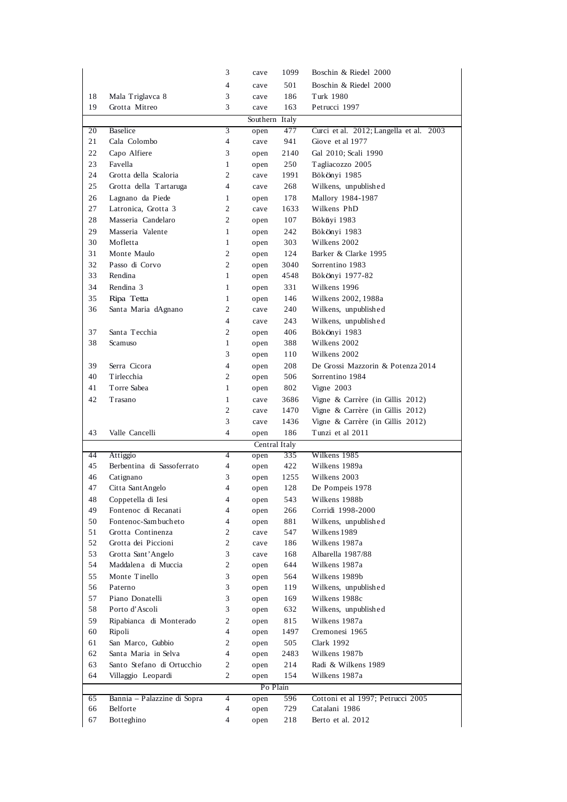|          |                             | 3              | cave         | 1099          | Boschin & Riedel 2000                   |
|----------|-----------------------------|----------------|--------------|---------------|-----------------------------------------|
|          |                             | 4              | cave         | 501           | Boschin & Riedel 2000                   |
| 18       | Mala Triglavca 8            | 3              | cave         | 186           | Turk 1980                               |
| 19       | Grotta Mitreo               | 3              | cave         | 163           | Petrucci 1997                           |
|          | Southern Italy              |                |              |               |                                         |
| 20       | Baselice                    | 3              | open         | 477           | Curci et al. 2012; Langella et al. 2003 |
| 21       | Cala Colombo                | $\overline{4}$ | cave         | 941           | Giove et al 1977                        |
| 22       | Capo Alfiere                | 3              | open         | 2140          | Gal 2010; Scali 1990                    |
| 23       | Favella                     | $\mathbf{1}$   | open         | 250           | Tagliacozzo 2005                        |
| 24       | Grotta della Scaloria       | 2              | cave         | 1991          | Bökönyi 1985                            |
| 25       | Grotta della Tartaruga      | $\overline{4}$ | cave         | 268           | Wilkens, unpublished                    |
| 26       | Lagnano da Piede            | 1              |              | 178           | Mallory 1984-1987                       |
| 27       | Latronica, Grotta 3         | 2              | open<br>cave | 1633          | Wilkens PhD                             |
| 28       | Masseria Candelaro          | 2              |              | 107           |                                         |
|          |                             |                | open         |               | Bököyi 1983                             |
| 29       | Masseria Valente            | $\mathbf{1}$   | open         | 242           | Bökönyi 1983                            |
| 30       | Mofletta                    | 1              | open         | 303           | Wilkens 2002                            |
| 31       | Monte Maulo                 | 2              | open         | 124           | Barker & Clarke 1995                    |
| 32       | Passo di Corvo              | 2              | open         | 3040          | Sorrentino 1983                         |
| 33       | Rendina                     | $\mathbf{1}$   | open         | 4548          | Bökönyi 1977-82                         |
| 34       | Rendina 3                   | $\mathbf{1}$   | open         | 331           | Wilkens 1996                            |
| 35       | Ripa Tetta                  | $\mathbf{1}$   | open         | 146           | Wilkens 2002, 1988a                     |
| 36       | Santa Maria dAgnano         | 2              | cave         | 240           | Wilkens, unpublished                    |
|          |                             | 4              | cave         | 243           | Wilkens, unpublished                    |
| 37       | Santa Tecchia               | 2              | open         | 406           | Bökönyi 1983                            |
| 38       | Scamuso                     | $\mathbf{1}$   | open         | 388           | Wilkens 2002                            |
|          |                             | 3              | open         | 110           | Wilkens 2002                            |
| 39       | Serra Cicora                | $\overline{4}$ | open         | 208           | De Grossi Mazzorin & Potenza 2014       |
| 40       | Tirlecchia                  | 2              | open         | 506           | Sorrentino 1984                         |
| 41       | Torre Sabea                 | 1              | open         | 802           | Vigne 2003                              |
| 42       | Trasano                     | 1              | cave         | 3686          | Vigne & Carrère (in Gillis $2012$ )     |
|          |                             | $\overline{c}$ | cave         | 1470          | Vigne & Carrère (in Gillis 2012)        |
|          |                             | 3              | cave         | 1436          | Vigne & Carrère (in Gillis 2012)        |
| 43       | Valle Cancelli              | $\overline{4}$ | open         | 186           | Tunzi et al 2011                        |
|          |                             |                |              | Central Italy |                                         |
| 44       | Attiggio                    | $\overline{4}$ | open         | 335           | Wilkens 1985                            |
| 45       | Berbentina di Sassoferrato  | $\overline{4}$ | open         | 422           | Wilkens 1989a                           |
| 46       | Catignano                   | 3              | open         | 1255          | Wilkens 2003                            |
| 47       | Citta Sant Angelo           | 4              | open         | 128           | De Pompeis 1978                         |
| 48       | Coppetella di Iesi          | 4              | open         | 543           | Wilkens 1988b                           |
| 49       | Fontenoc di Recanati        | 4              | open         | 266           | Corridi 1998-2000                       |
| 50       | Fontenoc-Sam buch eto       | 4              | open         | 881           | Wilkens, unpublished                    |
| 51       | Grotta Continenza           | 2              | cave         | 547           | Wilkens 1989                            |
| 52       | Grotta dei Piccioni         | 2              | cave         | 186           | Wilkens 1987a                           |
| 53       | Grotta Sant' Angelo         | 3              | cave         | 168           | Albarella 1987/88                       |
| 54       | Maddalena di Muccia         | 2              | open         | 644           | Wilkens 1987a                           |
| 55       | Monte Tinello               | 3              | open         | 564           | Wilkens 1989b                           |
| 56       | Paterno                     | 3              | open         | 119           | Wilkens, unpublished                    |
| 57       | Piano Donatelli             | 3              | open         | 169           | Wilkens 1988c                           |
| 58       | Porto d'Ascoli              | 3              | open         | 632           | Wilkens, unpublished                    |
| 59       | Ripabianca di Monterado     | 2              | open         | 815           | Wilkens 1987a                           |
| 60       | Ripoli                      | 4              | open         | 1497          | Cremonesi 1965                          |
| 61       | San Marco, Gubbio           | 2              | open         | 505           | Clark 1992                              |
| 62       | Santa Maria in Selva        | 4              | open         | 2483          | Wilkens 1987b                           |
| 63       | Santo Stefano di Ortucchio  | 2              | open         | 214           | Radi & Wilkens 1989                     |
| 64       | Villaggio Leopardi          | 2              | open         | 154           | Wilkens 1987a                           |
| Po Plain |                             |                |              |               |                                         |
| 65       | Bannia - Palazzine di Sopra | $\overline{4}$ | open         | 596           | Cottoni et al 1997; Petrucci 2005       |
| 66       | Belforte                    | 4              | open         | 729           | Catalani 1986                           |
| 67       | Botteghino                  | 4              | open         | 218           | Berto et al. 2012                       |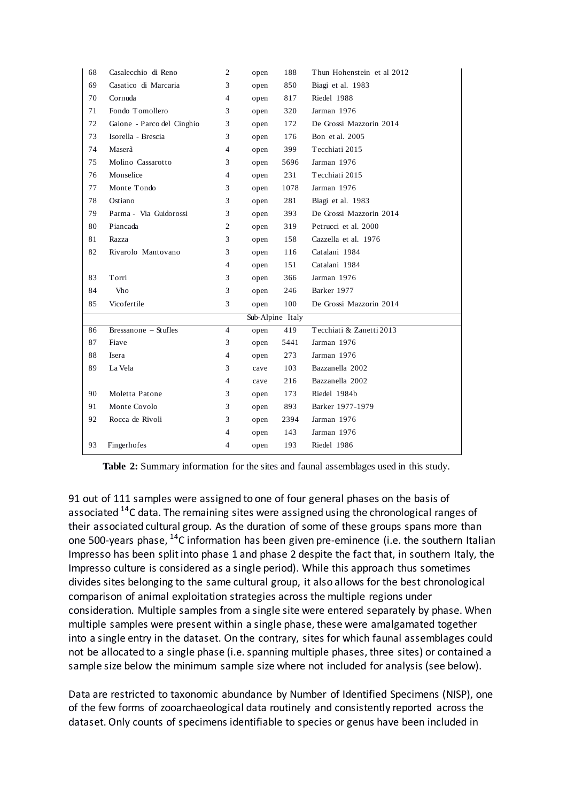| 68               | Casalecchio di Reno        | 2              | open | 188  | Thun Hohenstein et al 2012 |
|------------------|----------------------------|----------------|------|------|----------------------------|
| 69               | Casatico di Marcaria       | 3              | open | 850  | Biagi et al. 1983          |
| 70               | Cornuda                    | $\overline{4}$ | open | 817  | Riedel 1988                |
| 71               | Fondo Tomollero            | 3              | open | 320  | Jarman 1976                |
| 72               | Gaione - Parco del Cinghio | 3              | open | 172  | De Grossi Mazzorin 2014    |
| 73               | Isorella - Brescia         | 3              | open | 176  | Bon et al. 2005            |
| 74               | Maserà                     | $\overline{4}$ | open | 399  | Tecchiati 2015             |
| 75               | Molino Cassarotto          | 3              | open | 5696 | Jarman 1976                |
| 76               | Monselice                  | $\overline{4}$ | open | 231  | Tecchiati 2015             |
| 77               | Monte Tondo                | 3              | open | 1078 | Jarman 1976                |
| 78               | Ostiano                    | 3              | open | 281  | Biagi et al. 1983          |
| 79               | Parma - Via Guidorossi     | 3              | open | 393  | De Grossi Mazzorin 2014    |
| 80               | Piancada                   | $\overline{c}$ | open | 319  | Petrucci et al. 2000       |
| 81               | Razza                      | 3              | open | 158  | Cazzella et al. 1976       |
| 82               | Rivarolo Mantovano         | 3              | open | 116  | Catalani 1984              |
|                  |                            | 4              | open | 151  | Catalani 1984              |
| 83               | Torri                      | 3              | open | 366  | Jarman 1976                |
| 84               | Vho                        | 3              | open | 246  | Barker 1977                |
| 85               | Vicofertile                | 3              | open | 100  | De Grossi Mazzorin 2014    |
| Sub-Alpine Italy |                            |                |      |      |                            |
| 86               | Bressanone - Stufles       | $\overline{4}$ | open | 419  | Tecchiati & Zanetti 2013   |
| 87               | Fiave                      | 3              | open | 5441 | Jarman 1976                |
| 88               | Isera                      | 4              | open | 273  | Jarman 1976                |
| 89               | La Vela                    | 3              | cave | 103  | Bazzanella 2002            |
|                  |                            | 4              | cave | 216  | Bazzanella 2002            |
| 90               | Moletta Patone             | 3              | open | 173  | Riedel 1984b               |
| 91               | Monte Covolo               | 3              | open | 893  | Barker 1977-1979           |
| 92               | Rocca de Rivoli            | 3              | open | 2394 | Jarman 1976                |
|                  |                            | 4              | open | 143  | Jarman 1976                |
| 93               | Fingerhofes                | 4              | open | 193  | Riedel 1986                |

**Table 2:** Summary information for the sites and faunal assemblages used in this study.

91 out of 111 samples were assigned to one of four general phases on the basis of associated  $14$ C data. The remaining sites were assigned using the chronological ranges of their associated cultural group. As the duration of some of these groups spans more than one 500-years phase, <sup>14</sup>C information has been given pre-eminence (i.e. the southern Italian Impresso has been split into phase 1 and phase 2 despite the fact that, in southern Italy, the Impresso culture is considered as a single period). While this approach thus sometimes divides sites belonging to the same cultural group, it also allows for the best chronological comparison of animal exploitation strategies across the multiple regions under consideration. Multiple samples from a single site were entered separately by phase. When multiple samples were present within a single phase, these were amalgamated together into a single entry in the dataset. On the contrary, sites for which faunal assemblages could not be allocated to a single phase (i.e. spanning multiple phases, three sites) or contained a sample size below the minimum sample size where not included for analysis (see below).

Data are restricted to taxonomic abundance by Number of Identified Specimens (NISP), one of the few forms of zooarchaeological data routinely and consistently reported across the dataset. Only counts of specimens identifiable to species or genus have been included in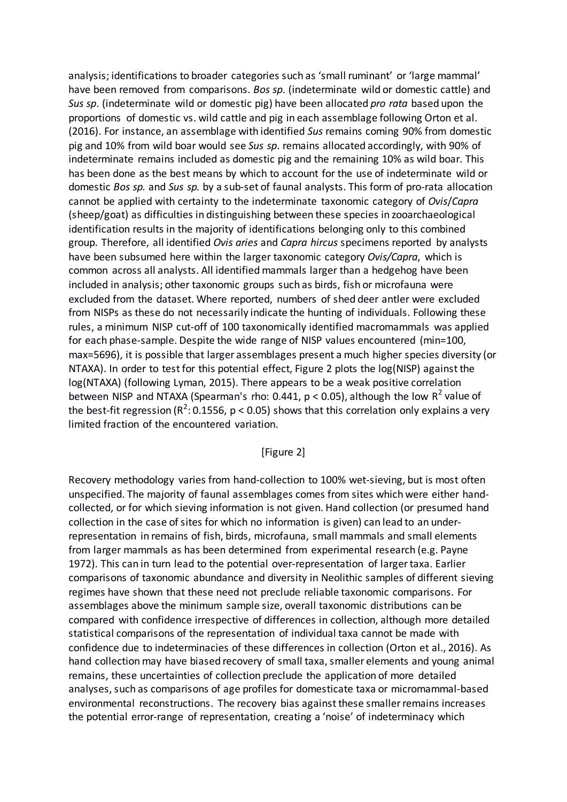analysis; identifications to broader categories such as 'small ruminant' or 'large mammal' have been removed from comparisons. *Bos sp*. (indeterminate wild or domestic cattle) and *Sus sp*. (indeterminate wild or domestic pig) have been allocated *pro rata* based upon the proportions of domestic vs. wild cattle and pig in each assemblage following Orton et al. (2016). For instance, an assemblage with identified *Sus* remains coming 90% from domestic pig and 10% from wild boar would see *Sus sp*. remains allocated accordingly, with 90% of indeterminate remains included as domestic pig and the remaining 10% as wild boar. This has been done as the best means by which to account for the use of indeterminate wild or domestic *Bos sp.* and *Sus sp.* by a sub-set of faunal analysts. This form of pro-rata allocation cannot be applied with certainty to the indeterminate taxonomic category of *Ovis*/*Capra* (sheep/goat) as difficulties in distinguishing between these species in zooarchaeological identification results in the majority of identifications belonging only to this combined group. Therefore, all identified *Ovis aries* and *Capra hircus* specimens reported by analysts have been subsumed here within the larger taxonomic category *Ovis/Capra*, which is common across all analysts. All identified mammals larger than a hedgehog have been included in analysis; other taxonomic groups such as birds, fish or microfauna were excluded from the dataset. Where reported, numbers of shed deer antler were excluded from NISPs as these do not necessarily indicate the hunting of individuals. Following these rules, a minimum NISP cut-off of 100 taxonomically identified macromammals was applied for each phase-sample. Despite the wide range of NISP values encountered (min=100, max=5696), it is possible that larger assemblages present a much higher species diversity (or NTAXA). In order to test for this potential effect, Figure 2 plots the log(NISP) against the log(NTAXA) (following Lyman, 2015). There appears to be a weak positive correlation between NISP and NTAXA (Spearman's rho: 0.441,  $p < 0.05$ ), although the low R<sup>2</sup> value of the best-fit regression ( $R^2$ : 0.1556,  $p < 0.05$ ) shows that this correlation only explains a very limited fraction of the encountered variation.

#### [Figure 2]

Recovery methodology varies from hand-collection to 100% wet-sieving, but is most often unspecified. The majority of faunal assemblages comes from sites which were either handcollected, or for which sieving information is not given. Hand collection (or presumed hand collection in the case of sites for which no information is given) can lead to an underrepresentation in remains of fish, birds, microfauna, small mammals and small elements from larger mammals as has been determined from experimental research (e.g. Payne 1972). This can in turn lead to the potential over-representation of larger taxa. Earlier comparisons of taxonomic abundance and diversity in Neolithic samples of different sieving regimes have shown that these need not preclude reliable taxonomic comparisons. For assemblages above the minimum sample size, overall taxonomic distributions can be compared with confidence irrespective of differences in collection, although more detailed statistical comparisons of the representation of individual taxa cannot be made with confidence due to indeterminacies of these differences in collection (Orton et al., 2016). As hand collection may have biased recovery of small taxa, smaller elements and young animal remains, these uncertainties of collection preclude the application of more detailed analyses, such as comparisons of age profiles for domesticate taxa or micromammal-based environmental reconstructions. The recovery bias against these smaller remains increases the potential error-range of representation, creating a 'noise' of indeterminacy which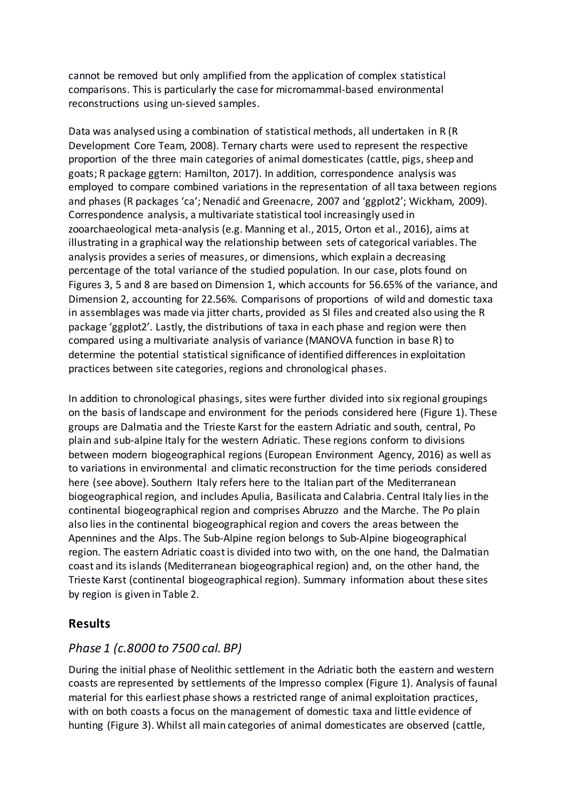cannot be removed but only amplified from the application of complex statistical comparisons. This is particularly the case for micromammal-based environmental reconstructions using un-sieved samples.

Data was analysed using a combination of statistical methods, all undertaken in R (R Development Core Team, 2008). Ternary charts were used to represent the respective proportion of the three main categories of animal domesticates (cattle, pigs, sheep and goats; R package ggtern: Hamilton, 2017). In addition, correspondence analysis was employed to compare combined variations in the representation of all taxa between regions and phases (R packages 'ca'; Nenadić and Greenacre, 2007 and 'ggplot2'; Wickham, 2009). Correspondence analysis, a multivariate statistical tool increasingly used in zooarchaeological meta-analysis (e.g. Manning et al., 2015, Orton et al., 2016), aims at illustrating in a graphical way the relationship between sets of categorical variables. The analysis provides a series of measures, or dimensions, which explain a decreasing percentage of the total variance of the studied population. In our case, plots found on Figures 3, 5 and 8 are based on Dimension 1, which accounts for 56.65% of the variance, and Dimension 2, accounting for 22.56%. Comparisons of proportions of wild and domestic taxa in assemblages was made via jitter charts, provided as SI files and created also using the R package 'ggplot2'. Lastly, the distributions of taxa in each phase and region were then compared using a multivariate analysis of variance (MANOVA function in base R) to determine the potential statistical significance of identified differences in exploitation practices between site categories, regions and chronological phases.

In addition to chronological phasings, sites were further divided into six regional groupings on the basis of landscape and environment for the periods considered here (Figure 1). These groups are Dalmatia and the Trieste Karst for the eastern Adriatic and south, central, Po plain and sub-alpine Italy for the western Adriatic. These regions conform to divisions between modern biogeographical regions (European Environment Agency, 2016) as well as to variations in environmental and climatic reconstruction for the time periods considered here (see above). Southern Italy refers here to the Italian part of the Mediterranean biogeographical region, and includes Apulia, Basilicata and Calabria. Central Italy lies in the continental biogeographical region and comprises Abruzzo and the Marche. The Po plain also lies in the continental biogeographical region and covers the areas between the Apennines and the Alps. The Sub-Alpine region belongs to Sub-Alpine biogeographical region. The eastern Adriatic coast is divided into two with, on the one hand, the Dalmatian coast and its islands (Mediterranean biogeographical region) and, on the other hand, the Trieste Karst (continental biogeographical region). Summary information about these sites by region is given in Table 2.

## **Results**

## *Phase 1 (c.8000 to 7500 cal. BP)*

During the initial phase of Neolithic settlement in the Adriatic both the eastern and western coasts are represented by settlements of the Impresso complex (Figure 1). Analysis of faunal material for this earliest phase shows a restricted range of animal exploitation practices, with on both coasts a focus on the management of domestic taxa and little evidence of hunting (Figure 3). Whilst all main categories of animal domesticates are observed (cattle,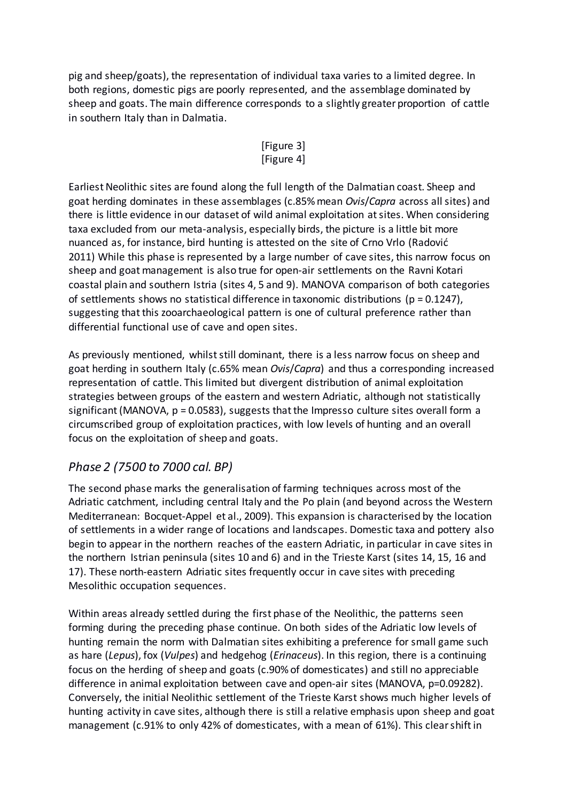pig and sheep/goats), the representation of individual taxa varies to a limited degree. In both regions, domestic pigs are poorly represented, and the assemblage dominated by sheep and goats. The main difference corresponds to a slightly greater proportion of cattle in southern Italy than in Dalmatia.

## [Figure 3] [Figure 4]

Earliest Neolithic sites are found along the full length of the Dalmatian coast. Sheep and goat herding dominates in these assemblages (c.85% mean *Ovis*/*Capra* across all sites) and there is little evidence in our dataset of wild animal exploitation at sites. When considering taxa excluded from our meta-analysis, especially birds, the picture is a little bit more nuanced as, for instance, bird hunting is attested on the site of Crno Vrlo (Radović 2011) While this phase is represented by a large number of cave sites, this narrow focus on sheep and goat management is also true for open-air settlements on the Ravni Kotari coastal plain and southern Istria (sites 4, 5 and 9). MANOVA comparison of both categories of settlements shows no statistical difference in taxonomic distributions ( $p = 0.1247$ ), suggesting that this zooarchaeological pattern is one of cultural preference rather than differential functional use of cave and open sites.

As previously mentioned, whilst still dominant, there is a less narrow focus on sheep and goat herding in southern Italy (c.65% mean *Ovis*/*Capra*) and thus a corresponding increased representation of cattle. This limited but divergent distribution of animal exploitation strategies between groups of the eastern and western Adriatic, although not statistically significant (MANOVA, p = 0.0583), suggests that the Impresso culture sites overall form a circumscribed group of exploitation practices, with low levels of hunting and an overall focus on the exploitation of sheep and goats.

# *Phase 2 (7500 to 7000 cal. BP)*

The second phase marks the generalisation of farming techniques across most of the Adriatic catchment, including central Italy and the Po plain (and beyond across the Western Mediterranean: Bocquet-Appel et al., 2009). This expansion is characterised by the location of settlements in a wider range of locations and landscapes. Domestic taxa and pottery also begin to appear in the northern reaches of the eastern Adriatic, in particular in cave sites in the northern Istrian peninsula (sites 10 and 6) and in the Trieste Karst (sites 14, 15, 16 and 17). These north-eastern Adriatic sites frequently occur in cave sites with preceding Mesolithic occupation sequences.

Within areas already settled during the first phase of the Neolithic, the patterns seen forming during the preceding phase continue. On both sides of the Adriatic low levels of hunting remain the norm with Dalmatian sites exhibiting a preference for small game such as hare (*Lepus*), fox (*Vulpes*) and hedgehog (*Erinaceus*). In this region, there is a continuing focus on the herding of sheep and goats (c.90% of domesticates) and still no appreciable difference in animal exploitation between cave and open-air sites (MANOVA, p=0.09282). Conversely, the initial Neolithic settlement of the Trieste Karst shows much higher levels of hunting activity in cave sites, although there is still a relative emphasis upon sheep and goat management (c.91% to only 42% of domesticates, with a mean of 61%). This clear shift in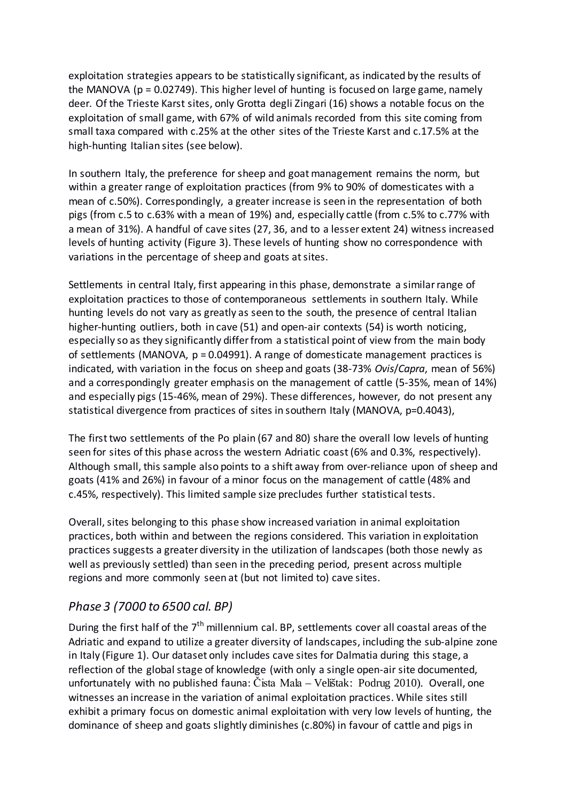exploitation strategies appears to be statistically significant, as indicated by the results of the MANOVA ( $p = 0.02749$ ). This higher level of hunting is focused on large game, namely deer. Of the Trieste Karst sites, only Grotta degli Zingari (16) shows a notable focus on the exploitation of small game, with 67% of wild animals recorded from this site coming from small taxa compared with c.25% at the other sites of the Trieste Karst and c.17.5% at the high-hunting Italian sites (see below).

In southern Italy, the preference for sheep and goat management remains the norm, but within a greater range of exploitation practices (from 9% to 90% of domesticates with a mean of c.50%). Correspondingly, a greater increase is seen in the representation of both pigs (from c.5 to c.63% with a mean of 19%) and, especially cattle (from c.5% to c.77% with a mean of 31%). A handful of cave sites (27, 36, and to a lesser extent 24) witness increased levels of hunting activity (Figure 3). These levels of hunting show no correspondence with variations in the percentage of sheep and goats at sites.

Settlements in central Italy, first appearing in this phase, demonstrate a similar range of exploitation practices to those of contemporaneous settlements in southern Italy. While hunting levels do not vary as greatly as seen to the south, the presence of central Italian higher-hunting outliers, both in cave (51) and open-air contexts (54) is worth noticing, especially so as they significantly differ from a statistical point of view from the main body of settlements (MANOVA,  $p = 0.04991$ ). A range of domesticate management practices is indicated, with variation in the focus on sheep and goats (38-73% *Ovis*/*Capra*, mean of 56%) and a correspondingly greater emphasis on the management of cattle (5-35%, mean of 14%) and especially pigs (15-46%, mean of 29%). These differences, however, do not present any statistical divergence from practices of sites in southern Italy (MANOVA, p=0.4043),

The first two settlements of the Po plain (67 and 80) share the overall low levels of hunting seen for sites of this phase across the western Adriatic coast (6% and 0.3%, respectively). Although small, this sample also points to a shift away from over-reliance upon of sheep and goats (41% and 26%) in favour of a minor focus on the management of cattle (48% and c.45%, respectively). This limited sample size precludes further statistical tests.

Overall, sites belonging to this phase show increased variation in animal exploitation practices, both within and between the regions considered. This variation in exploitation practices suggests a greater diversity in the utilization of landscapes (both those newly as well as previously settled) than seen in the preceding period, present across multiple regions and more commonly seen at (but not limited to) cave sites.

# *Phase 3 (7000 to 6500 cal. BP)*

During the first half of the  $7<sup>th</sup>$  millennium cal. BP, settlements cover all coastal areas of the Adriatic and expand to utilize a greater diversity of landscapes, including the sub-alpine zone in Italy (Figure 1). Our dataset only includes cave sites for Dalmatia during this stage, a reflection of the global stage of knowledge (with only a single open-air site documented, unfortunately with no published fauna: Čista Mala – Velištak: Podrug 2010). Overall, one witnesses an increase in the variation of animal exploitation practices. While sites still exhibit a primary focus on domestic animal exploitation with very low levels of hunting, the dominance of sheep and goats slightly diminishes (c.80%) in favour of cattle and pigs in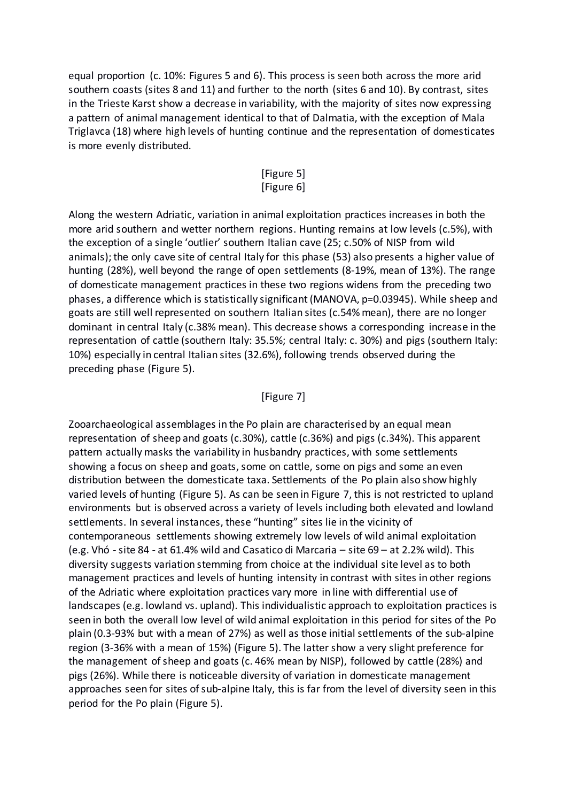equal proportion (c. 10%: Figures 5 and 6). This process is seen both across the more arid southern coasts (sites 8 and 11) and further to the north (sites 6 and 10). By contrast, sites in the Trieste Karst show a decrease in variability, with the majority of sites now expressing a pattern of animal management identical to that of Dalmatia, with the exception of Mala Triglavca (18) where high levels of hunting continue and the representation of domesticates is more evenly distributed.

#### [Figure 5] [Figure 6]

Along the western Adriatic, variation in animal exploitation practices increases in both the more arid southern and wetter northern regions. Hunting remains at low levels (c.5%), with the exception of a single 'outlier' southern Italian cave (25; c.50% of NISP from wild animals); the only cave site of central Italy for this phase (53) also presents a higher value of hunting (28%), well beyond the range of open settlements (8-19%, mean of 13%). The range of domesticate management practices in these two regions widens from the preceding two phases, a difference which is statistically significant (MANOVA, p=0.03945). While sheep and goats are still well represented on southern Italian sites (c.54% mean), there are no longer dominant in central Italy (c.38% mean). This decrease shows a corresponding increase in the representation of cattle (southern Italy: 35.5%; central Italy: c. 30%) and pigs (southern Italy: 10%) especially in central Italian sites (32.6%), following trends observed during the preceding phase (Figure 5).

### [Figure 7]

Zooarchaeological assemblages in the Po plain are characterised by an equal mean representation of sheep and goats (c.30%), cattle (c.36%) and pigs (c.34%). This apparent pattern actually masks the variability in husbandry practices, with some settlements showing a focus on sheep and goats, some on cattle, some on pigs and some an even distribution between the domesticate taxa. Settlements of the Po plain also show highly varied levels of hunting (Figure 5). As can be seen in Figure 7, this is not restricted to upland environments but is observed across a variety of levels including both elevated and lowland settlements. In several instances, these "hunting" sites lie in the vicinity of contemporaneous settlements showing extremely low levels of wild animal exploitation (e.g. Vhó -site 84 - at 61.4% wild and Casatico di Marcaria – site 69 – at 2.2% wild). This diversity suggests variation stemming from choice at the individual site level as to both management practices and levels of hunting intensity in contrast with sites in other regions of the Adriatic where exploitation practices vary more in line with differential use of landscapes (e.g. lowland vs. upland). This individualistic approach to exploitation practices is seen in both the overall low level of wild animal exploitation in this period for sites of the Po plain (0.3-93% but with a mean of 27%) as well as those initial settlements of the sub-alpine region (3-36% with a mean of 15%) (Figure 5). The latter show a very slight preference for the management of sheep and goats (c. 46% mean by NISP), followed by cattle (28%) and pigs (26%). While there is noticeable diversity of variation in domesticate management approaches seen for sites of sub-alpine Italy, this is far from the level of diversity seen in this period for the Po plain (Figure 5).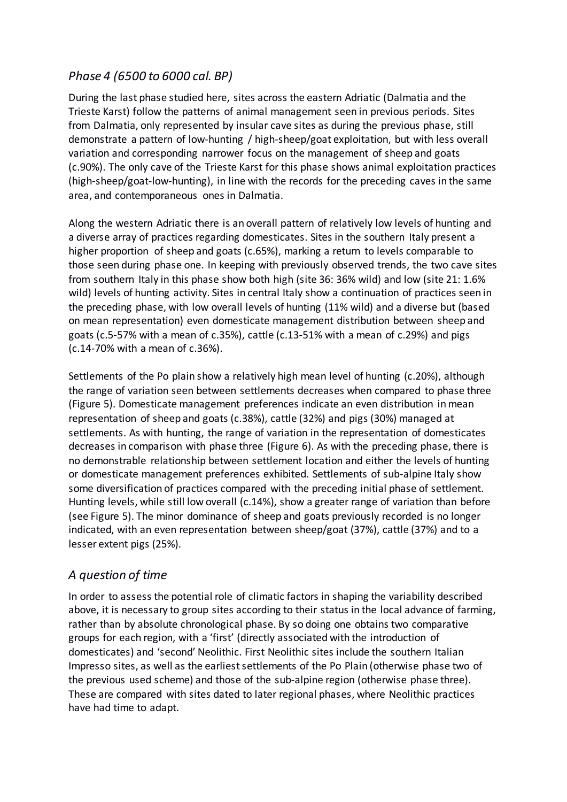## *Phase 4 (6500 to 6000 cal. BP)*

During the last phase studied here, sites across the eastern Adriatic (Dalmatia and the Trieste Karst) follow the patterns of animal management seen in previous periods. Sites from Dalmatia, only represented by insular cave sites as during the previous phase, still demonstrate a pattern of low-hunting / high-sheep/goat exploitation, but with less overall variation and corresponding narrower focus on the management of sheep and goats (c.90%). The only cave of the Trieste Karst for this phase shows animal exploitation practices (high-sheep/goat-low-hunting), in line with the records for the preceding caves in the same area, and contemporaneous ones in Dalmatia.

Along the western Adriatic there is an overall pattern of relatively low levels of hunting and a diverse array of practices regarding domesticates. Sites in the southern Italy present a higher proportion of sheep and goats (c.65%), marking a return to levels comparable to those seen during phase one. In keeping with previously observed trends, the two cave sites from southern Italy in this phase show both high (site 36: 36% wild) and low (site 21: 1.6% wild) levels of hunting activity. Sites in central Italy show a continuation of practices seen in the preceding phase, with low overall levels of hunting (11% wild) and a diverse but (based on mean representation) even domesticate management distribution between sheep and goats (c.5-57% with a mean of c.35%), cattle (c.13-51% with a mean of c.29%) and pigs (c.14-70% with a mean of c.36%).

Settlements of the Po plain show a relatively high mean level of hunting (c.20%), although the range of variation seen between settlements decreases when compared to phase three (Figure 5). Domesticate management preferences indicate an even distribution in mean representation of sheep and goats (c.38%), cattle (32%) and pigs (30%) managed at settlements. As with hunting, the range of variation in the representation of domesticates decreases in comparison with phase three (Figure 6). As with the preceding phase, there is no demonstrable relationship between settlement location and either the levels of hunting or domesticate management preferences exhibited. Settlements of sub-alpine Italy show some diversification of practices compared with the preceding initial phase of settlement. Hunting levels, while still low overall (c.14%), show a greater range of variation than before (see Figure 5). The minor dominance of sheep and goats previously recorded is no longer indicated, with an even representation between sheep/goat (37%), cattle (37%) and to a lesser extent pigs (25%).

## *A question of time*

In order to assess the potential role of climatic factors in shaping the variability described above, it is necessary to group sites according to their status in the local advance of farming, rather than by absolute chronological phase. By so doing one obtains two comparative groups for each region, with a 'first' (directly associated with the introduction of domesticates) and 'second' Neolithic. First Neolithic sites include the southern Italian Impresso sites, as well as the earliest settlements of the Po Plain (otherwise phase two of the previous used scheme) and those of the sub-alpine region (otherwise phase three). These are compared with sites dated to later regional phases, where Neolithic practices have had time to adapt.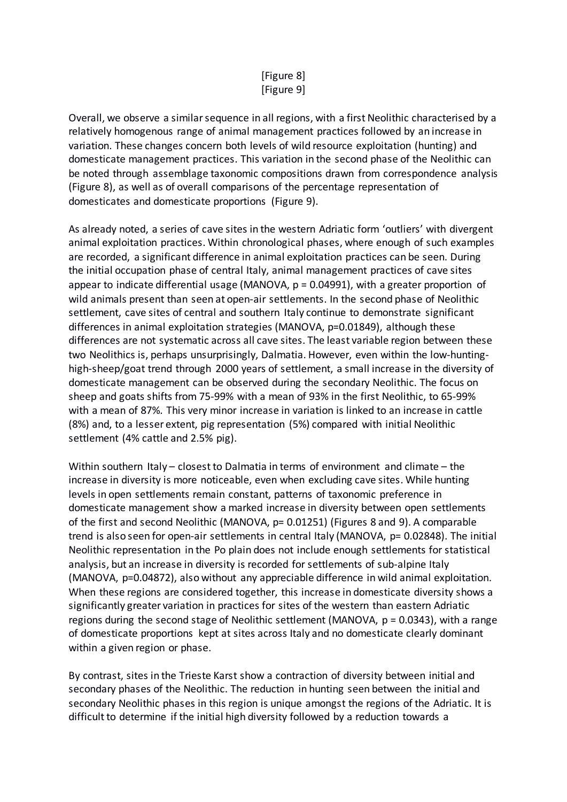### [Figure 8] [Figure 9]

Overall, we observe a similar sequence in all regions, with a first Neolithic characterised by a relatively homogenous range of animal management practices followed by an increase in variation. These changes concern both levels of wild resource exploitation (hunting) and domesticate management practices. This variation in the second phase of the Neolithic can be noted through assemblage taxonomic compositions drawn from correspondence analysis (Figure 8), as well as of overall comparisons of the percentage representation of domesticates and domesticate proportions (Figure 9).

As already noted, a series of cave sites in the western Adriatic form 'outliers' with divergent animal exploitation practices. Within chronological phases, where enough of such examples are recorded, a significant difference in animal exploitation practices can be seen. During the initial occupation phase of central Italy, animal management practices of cave sites appear to indicate differential usage (MANOVA,  $p = 0.04991$ ), with a greater proportion of wild animals present than seen at open-air settlements. In the second phase of Neolithic settlement, cave sites of central and southern Italy continue to demonstrate significant differences in animal exploitation strategies (MANOVA, p=0.01849), although these differences are not systematic across all cave sites. The least variable region between these two Neolithics is, perhaps unsurprisingly, Dalmatia. However, even within the low-huntinghigh-sheep/goat trend through 2000 years of settlement, a small increase in the diversity of domesticate management can be observed during the secondary Neolithic. The focus on sheep and goats shifts from 75-99% with a mean of 93% in the first Neolithic, to 65-99% with a mean of 87%. This very minor increase in variation is linked to an increase in cattle (8%) and, to a lesser extent, pig representation (5%) compared with initial Neolithic settlement (4% cattle and 2.5% pig).

Within southern Italy – closest to Dalmatia in terms of environment and climate – the increase in diversity is more noticeable, even when excluding cave sites. While hunting levels in open settlements remain constant, patterns of taxonomic preference in domesticate management show a marked increase in diversity between open settlements of the first and second Neolithic (MANOVA, p= 0.01251) (Figures 8 and 9). A comparable trend is also seen for open-air settlements in central Italy (MANOVA, p= 0.02848). The initial Neolithic representation in the Po plain does not include enough settlements for statistical analysis, but an increase in diversity is recorded for settlements of sub-alpine Italy (MANOVA, p=0.04872), also without any appreciable difference in wild animal exploitation. When these regions are considered together, this increase in domesticate diversity shows a significantly greater variation in practices for sites of the western than eastern Adriatic regions during the second stage of Neolithic settlement (MANOVA, p = 0.0343), with a range of domesticate proportions kept at sites across Italy and no domesticate clearly dominant within a given region or phase.

By contrast, sites in the Trieste Karst show a contraction of diversity between initial and secondary phases of the Neolithic. The reduction in hunting seen between the initial and secondary Neolithic phases in this region is unique amongst the regions of the Adriatic. It is difficult to determine if the initial high diversity followed by a reduction towards a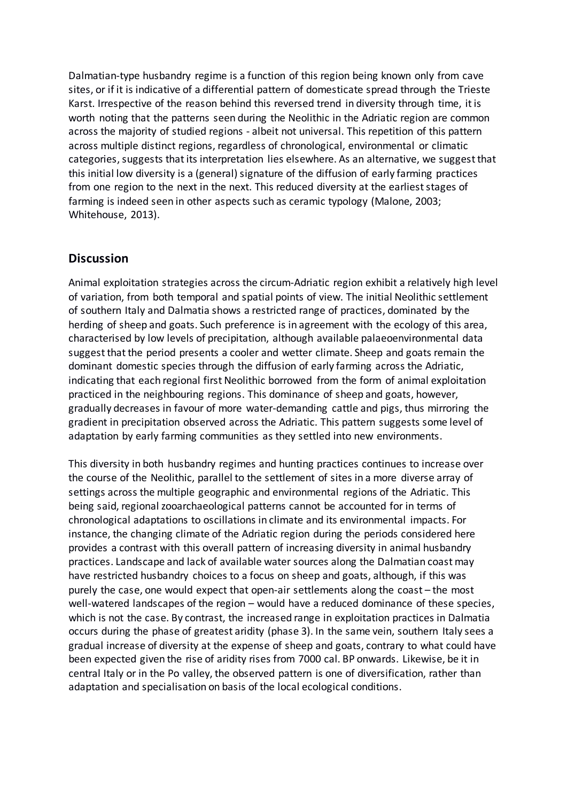Dalmatian-type husbandry regime is a function of this region being known only from cave sites, or if it is indicative of a differential pattern of domesticate spread through the Trieste Karst. Irrespective of the reason behind this reversed trend in diversity through time, it is worth noting that the patterns seen during the Neolithic in the Adriatic region are common across the majority of studied regions - albeit not universal. This repetition of this pattern across multiple distinct regions, regardless of chronological, environmental or climatic categories, suggests that its interpretation lies elsewhere. As an alternative, we suggest that this initial low diversity is a (general) signature of the diffusion of early farming practices from one region to the next in the next. This reduced diversity at the earliest stages of farming is indeed seen in other aspects such as ceramic typology (Malone, 2003; Whitehouse, 2013).

### **Discussion**

Animal exploitation strategies across the circum-Adriatic region exhibit a relatively high level of variation, from both temporal and spatial points of view. The initial Neolithic settlement of southern Italy and Dalmatia shows a restricted range of practices, dominated by the herding of sheep and goats. Such preference is in agreement with the ecology of this area, characterised by low levels of precipitation, although available palaeoenvironmental data suggest that the period presents a cooler and wetter climate. Sheep and goats remain the dominant domestic species through the diffusion of early farming across the Adriatic, indicating that each regional first Neolithic borrowed from the form of animal exploitation practiced in the neighbouring regions. This dominance of sheep and goats, however, gradually decreases in favour of more water-demanding cattle and pigs, thus mirroring the gradient in precipitation observed across the Adriatic. This pattern suggests some level of adaptation by early farming communities as they settled into new environments.

This diversity in both husbandry regimes and hunting practices continues to increase over the course of the Neolithic, parallel to the settlement of sites in a more diverse array of settings across the multiple geographic and environmental regions of the Adriatic. This being said, regional zooarchaeological patterns cannot be accounted for in terms of chronological adaptations to oscillations in climate and its environmental impacts. For instance, the changing climate of the Adriatic region during the periods considered here provides a contrast with this overall pattern of increasing diversity in animal husbandry practices. Landscape and lack of available water sources along the Dalmatian coast may have restricted husbandry choices to a focus on sheep and goats, although, if this was purely the case, one would expect that open-air settlements along the coast – the most well-watered landscapes of the region – would have a reduced dominance of these species, which is not the case. By contrast, the increased range in exploitation practices in Dalmatia occurs during the phase of greatest aridity (phase 3). In the same vein, southern Italy sees a gradual increase of diversity at the expense of sheep and goats, contrary to what could have been expected given the rise of aridity rises from 7000 cal. BP onwards. Likewise, be it in central Italy or in the Po valley, the observed pattern is one of diversification, rather than adaptation and specialisation on basis of the local ecological conditions.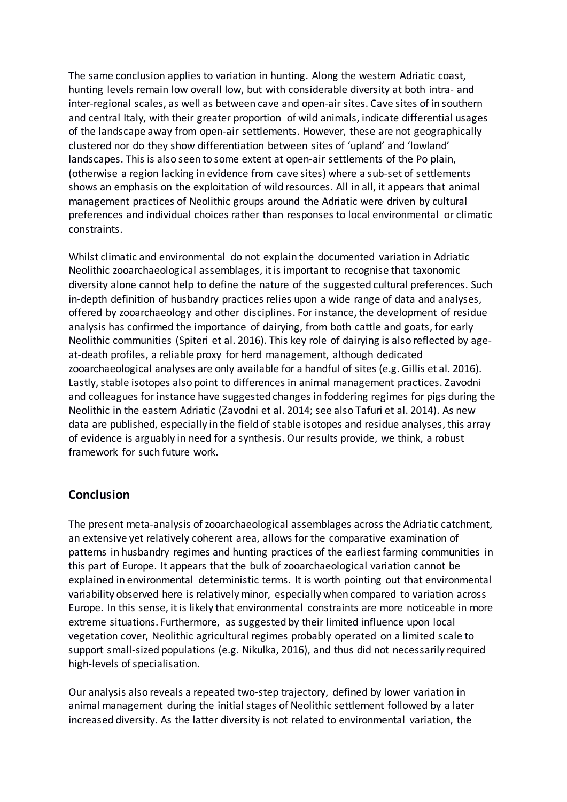The same conclusion applies to variation in hunting. Along the western Adriatic coast, hunting levels remain low overall low, but with considerable diversity at both intra- and inter-regional scales, as well as between cave and open-air sites. Cave sites of in southern and central Italy, with their greater proportion of wild animals, indicate differential usages of the landscape away from open-air settlements. However, these are not geographically clustered nor do they show differentiation between sites of 'upland' and 'lowland' landscapes. This is also seen to some extent at open-air settlements of the Po plain, (otherwise a region lacking in evidence from cave sites) where a sub-set of settlements shows an emphasis on the exploitation of wild resources. All in all, it appears that animal management practices of Neolithic groups around the Adriatic were driven by cultural preferences and individual choices rather than responses to local environmental or climatic constraints.

Whilst climatic and environmental do not explain the documented variation in Adriatic Neolithic zooarchaeological assemblages, it is important to recognise that taxonomic diversity alone cannot help to define the nature of the suggested cultural preferences. Such in-depth definition of husbandry practices relies upon a wide range of data and analyses, offered by zooarchaeology and other disciplines. For instance, the development of residue analysis has confirmed the importance of dairying, from both cattle and goats, for early Neolithic communities (Spiteri et al. 2016). This key role of dairying is also reflected by ageat-death profiles, a reliable proxy for herd management, although dedicated zooarchaeological analyses are only available for a handful of sites (e.g. Gillis et al. 2016). Lastly, stable isotopes also point to differences in animal management practices. Zavodni and colleagues for instance have suggested changes in foddering regimes for pigs during the Neolithic in the eastern Adriatic (Zavodni et al. 2014; see also Tafuri et al. 2014). As new data are published, especially in the field of stable isotopes and residue analyses, this array of evidence is arguably in need for a synthesis. Our results provide, we think, a robust framework for such future work.

## **Conclusion**

The present meta-analysis of zooarchaeological assemblages across the Adriatic catchment, an extensive yet relatively coherent area, allows for the comparative examination of patterns in husbandry regimes and hunting practices of the earliest farming communities in this part of Europe. It appears that the bulk of zooarchaeological variation cannot be explained in environmental deterministic terms. It is worth pointing out that environmental variability observed here is relatively minor, especially when compared to variation across Europe. In this sense, it is likely that environmental constraints are more noticeable in more extreme situations. Furthermore, as suggested by their limited influence upon local vegetation cover, Neolithic agricultural regimes probably operated on a limited scale to support small-sized populations (e.g. Nikulka, 2016), and thus did not necessarily required high-levels of specialisation.

Our analysis also reveals a repeated two-step trajectory, defined by lower variation in animal management during the initial stages of Neolithic settlement followed by a later increased diversity. As the latter diversity is not related to environmental variation, the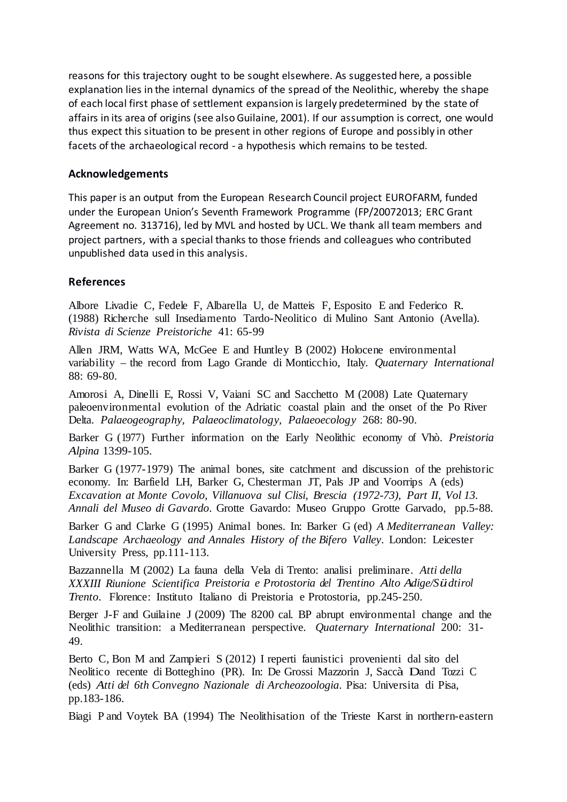reasons for this trajectory ought to be sought elsewhere. As suggested here, a possible explanation lies in the internal dynamics of the spread of the Neolithic, whereby the shape of each local first phase of settlement expansion is largely predetermined by the state of affairs in its area of origins (see also Guilaine, 2001). If our assumption is correct, one would thus expect this situation to be present in other regions of Europe and possibly in other facets of the archaeological record - a hypothesis which remains to be tested.

#### **Acknowledgements**

This paper is an output from the European Research Council project EUROFARM, funded under the European Union's Seventh Framework Programme (FP/20072013; ERC Grant Agreement no. 313716), led by MVL and hosted by UCL. We thank all team members and project partners, with a special thanks to those friends and colleagues who contributed unpublished data used in this analysis.

#### **References**

Albore Livadie C, Fedele F, Albarella U, de Matteis F, Esposito E and Federico R. (1988) Richerche sull Insediamento Tardo-Neolitico di Mulino Sant Antonio (Avella). *Rivista di Scienze Preistoriche* 41: 65-99

Allen JRM, Watts WA, McGee E and Huntley B (2002) Holocene environmental variability – the record from Lago Grande di Monticchio, Italy. *Quaternary International* 88: 69-80.

Amorosi A, Dinelli E, Rossi V, Vaiani SC and Sacchetto M (2008) Late Quaternary paleoenvironmental evolution of the Adriatic coastal plain and the onset of the Po River Delta. *Palaeogeography, Palaeoclimatology, Palaeoecology* 268: 80-90.

Barker G (1977) Further information on the Early Neolithic economy of Vhò. *Preistoria Alpina* 13:99-105.

Barker G (1977-1979) The animal bones, site catchment and discussion of the prehistoric economy. In: Barfield LH, Barker G, Chesterman JT, Pals JP and Voorrips A (eds) *Excavation at Monte Covolo, Villanuova sul Clisi, Brescia (1972-73), Part II, Vol 13. Annali del Museo di Gavardo*. Grotte Gavardo: Museo Gruppo Grotte Garvado, pp.5-88.

Barker G and Clarke G (1995) Animal bones. In: Barker G (ed) *A Mediterranean Valley: Landscape Archaeology and Annales History of the Bifero Valley*. London: Leicester University Press, pp.111-113.

Bazzannella M (2002) La fauna della Vela di Trento: analisi preliminare. *Atti della XXXIII Riunione Scientifica Preistoria e Protostoria del Trentino Alto Adige/Südtirol Trento*. Florence: Instituto Italiano di Preistoria e Protostoria, pp.245-250.

Berger J-F and Guilaine J (2009) The 8200 cal. BP abrupt environmental change and the Neolithic transition: a Mediterranean perspective. *Quaternary International* 200: 31- 49.

Berto C, Bon M and Zampieri S (2012) I reperti faunistici provenienti dal sito del Neolitico recente di Botteghino (PR). In: De Grossi Mazzorin J, Saccà Dand Tozzi C (eds) *Atti del 6th Convegno Nazionale di Archeozoologia*. Pisa: Universita di Pisa, pp.183-186.

Biagi P and Voytek BA (1994) The Neolithisation of the Trieste Karst in northern-eastern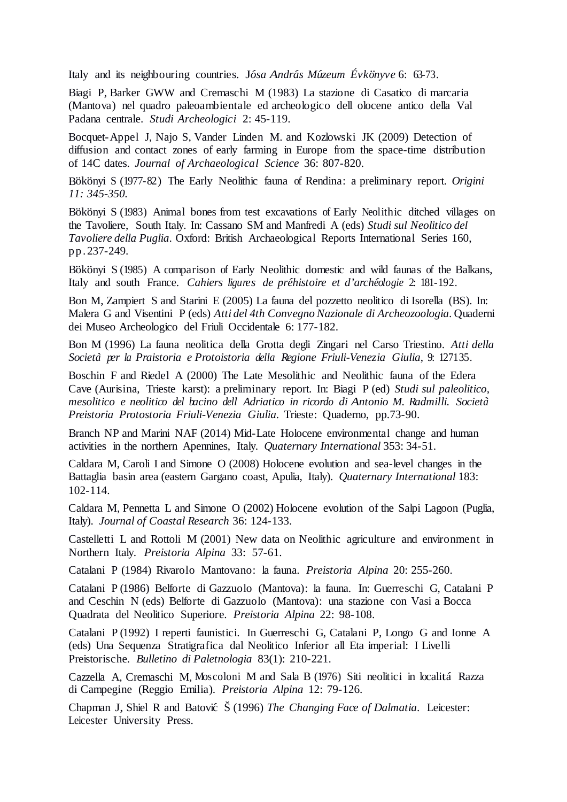Italy and its neighbouring countries. J*ósa András Múzeum Évkönyve* 6: 63-73.

Biagi P, Barker GWW and Cremaschi M (1983) La stazione di Casatico di marcaria (Mantova) nel quadro paleoambientale ed archeologico dell olocene antico della Val Padana centrale. *Studi Archeologici* 2: 45-119.

Bocquet-Appel J, Najo S, Vander Linden M. and Kozlowski JK (2009) Detection of diffusion and contact zones of early farming in Europe from the space-time distribution of 14C dates. *Journal of Archaeological Science* 36: 807-820.

Bökönyi S (1977-82) The Early Neolithic fauna of Rendina: a preliminary report. *Origini 11: 345-350.*

Bökönyi S (1983) Animal bones from test excavations of Early Neolithic ditched villages on the Tavoliere, South Italy. In: Cassano SM and Manfredi A (eds) *Studi sul Neolitico del Tavoliere della Puglia*. Oxford: British Archaeological Reports International Series 160, pp.237-249.

Bökönyi S (1985) A comparison of Early Neolithic domestic and wild faunas of the Balkans, Italy and south France. *Cahiers ligures de pr´ehistoire et d'arch´eologie* 2: 181-192.

Bon M, Zampiert S and Starini E (2005) La fauna del pozzetto neolitico di Isorella (BS). In: Malera G and Visentini P (eds) *Atti del 4th Convegno Nazionale di Archeozoologia*. Quaderni dei Museo Archeologico del Friuli Occidentale 6: 177-182.

Bon M (1996) La fauna neolitica della Grotta degli Zingari nel Carso Triestino. *Atti della Societ`a per la Praistoria e Protoistoria della Regione Friuli-Venezia Giulia*, 9: 127135.

Boschin F and Riedel A (2000) The Late Mesolithic and Neolithic fauna of the Edera Cave (Aurisina, Trieste karst): a preliminary report. In: Biagi P (ed) *Studi sul paleolitico, mesolitico e neolitico del bacino dell Adriatico in ricordo di Antonio M. Radmilli. Societ`a Preistoria Protostoria Friuli-Venezia Giulia*. Trieste: Quaderno, pp.73-90.

Branch NP and Marini NAF (2014) Mid-Late Holocene environmental change and human activities in the northern Apennines, Italy. *Quaternary International* 353: 34-51.

Caldara M, Caroli I and Simone O (2008) Holocene evolution and sea-level changes in the Battaglia basin area (eastern Gargano coast, Apulia, Italy). *Quaternary International* 183: 102-114.

Caldara M, Pennetta L and Simone O (2002) Holocene evolution of the Salpi Lagoon (Puglia, Italy). *Journal of Coastal Research* 36: 124-133.

Castelletti L and Rottoli M (2001) New data on Neolithic agriculture and environment in Northern Italy. *Preistoria Alpina* 33: 57-61.

Catalani P (1984) Rivarolo Mantovano: la fauna. *Preistoria Alpina* 20: 255-260.

Catalani P (1986) Belforte di Gazzuolo (Mantova): la fauna. In: Guerreschi G, Catalani P and Ceschin N (eds) Belforte di Gazzuolo (Mantova): una stazione con Vasi a Bocca Quadrata del Neolitico Superiore. *Preistoria Alpina* 22: 98-108.

Catalani P (1992) I reperti faunistici. In Guerreschi G, Catalani P, Longo G and Ionne A (eds) Una Sequenza Stratigrafica dal Neolitico Inferior all Eta imperial: I Livelli Preistorische. *Bulletino di Paletnologia* 83(1): 210-221.

Cazzella A, Cremaschi M, Moscoloni M and Sala B (1976) Siti neolitici in localita´ Razza di Campegine (Reggio Emilia). *Preistoria Alpina* 12: 79-126.

Chapman J, Shiel R and Batovi´c Š (1996) *The Changing Face of Dalmatia*. Leicester: Leicester University Press.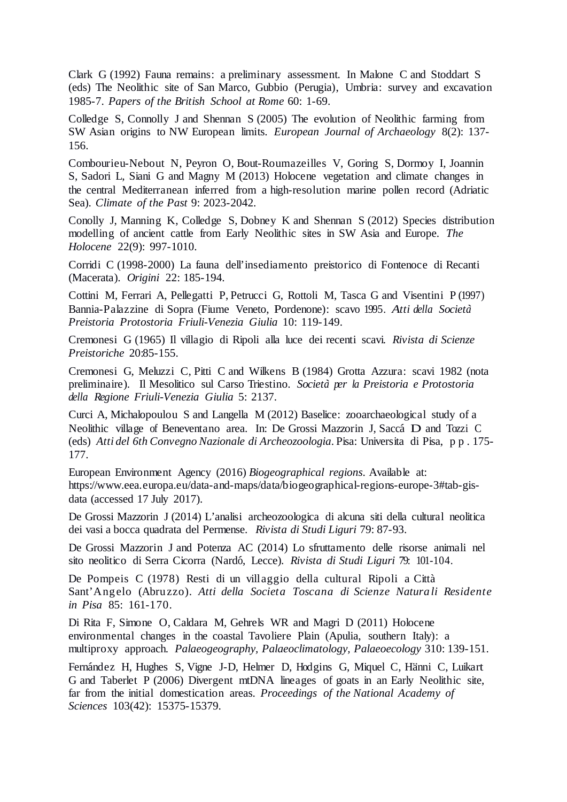Clark G (1992) Fauna remains: a preliminary assessment. In Malone C and Stoddart S (eds) The Neolithic site of San Marco, Gubbio (Perugia), Umbria: survey and excavation 1985-7. *Papers of the British School at Rome* 60: 1-69.

Colledge S, Connolly J and Shennan S (2005) The evolution of Neolithic farming from SW Asian origins to NW European limits. *European Journal of Archaeology* 8(2): 137- 156.

Combourieu-Nebout N, Peyron O, Bout-Roumazeilles V, Goring S, Dormoy I, Joannin S, Sadori L, Siani G and Magny M (2013) Holocene vegetation and climate changes in the central Mediterranean inferred from a high-resolution marine pollen record (Adriatic Sea). *Climate of the Past* 9: 2023-2042.

Conolly J, Manning K, Colledge S, Dobney K and Shennan S (2012) Species distribution modelling of ancient cattle from Early Neolithic sites in SW Asia and Europe. *The Holocene* 22(9): 997-1010.

Corridi C (1998-2000) La fauna dell'insediamento preistorico di Fontenoce di Recanti (Macerata). *Origini* 22: 185-194.

Cottini M, Ferrari A, Pellegatti P, Petrucci G, Rottoli M, Tasca G and Visentini P (1997) Bannia-Palazzine di Sopra (Fiume Veneto, Pordenone): scavo 1995. Atti della Società *Preistoria Protostoria Friuli-Venezia Giulia* 10: 119-149.

Cremonesi G (1965) Il villagio di Ripoli alla luce dei recenti scavi. *Rivista di Scienze Preistoriche* 20:85-155.

Cremonesi G, Meluzzi C, Pitti C and Wilkens B (1984) Grotta Azzura: scavi 1982 (nota preliminaire). Il Mesolitico sul Carso Triestino. *Societ`a per la Preistoria e Protostoria della Regione Friuli-Venezia Giulia* 5: 2137.

Curci A, Michalopoulou S and Langella M (2012) Baselice: zooarchaeological study of a Neolithic village of Beneventano area. In: De Grossi Mazzorin J, Sacca´ D and Tozzi C (eds) *Atti del 6th Convegno Nazionale di Archeozoologia*. Pisa: Universita di Pisa, pp. 175- 177.

European Environment Agency (2016) *Biogeographical regions*. Available at: [https://www.eea.europa.eu/data-and-maps/data/biogeographical-regions-europe-3#tab-gis](https://www.eea.europa.eu/data-and-maps/data/biogeographical-regions-europe-3#tab-gis-data)[data](https://www.eea.europa.eu/data-and-maps/data/biogeographical-regions-europe-3#tab-gis-data) (accessed 17 July 2017).

De Grossi Mazzorin J (2014) L'analisi archeozoologica di alcuna siti della cultural neolitica dei vasi a bocca quadrata del Permense. *Rivista di Studi Liguri* 79: 87-93.

De Grossi Mazzorin J and Potenza AC (2014) Lo sfruttamento delle risorse animali nel sito neolitico di Serra Cicorra (Nardo´, Lecce). *Rivista di Studi Liguri* 79: 101-104.

De Pompeis C (1978) Resti di un villaggio della cultural Ripoli a Città Sant'Ang elo (Abru zzo). *Atti della Societa Toscana di Scienze Natura li Residente in Pisa* 85: 161-170.

Di Rita F, Simone O, Caldara M, Gehrels WR and Magri D (2011) Holocene environmental changes in the coastal Tavoliere Plain (Apulia, southern Italy): a multiproxy approach. *Palaeogeography, Palaeoclimatology, Palaeoecology* 310: 139-151.

Fernández H, Hughes S, Vigne J-D, Helmer D, Hodgins G, Miquel C, Hänni C, Luikart G and Taberlet P (2006) Divergent mtDNA lineages of goats in an Early Neolithic site, far from the initial domestication areas. *Proceedings of the National Academy of Sciences* 103(42): 15375-15379.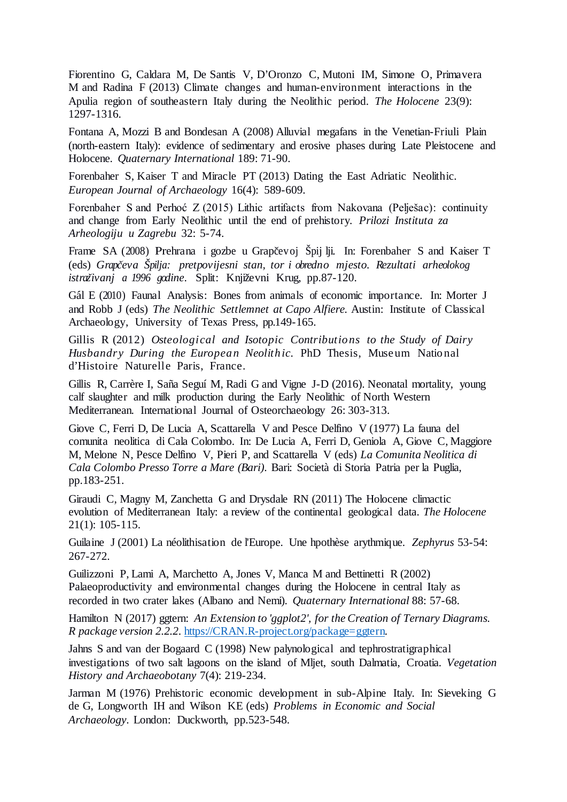Fiorentino G, Caldara M, De Santis V, D'Oronzo C, Mutoni IM, Simone O, Primavera M and Radina F (2013) Climate changes and human-environment interactions in the Apulia region of southeastern Italy during the Neolithic period. *The Holocene* 23(9): 1297-1316.

Fontana A, Mozzi B and Bondesan A (2008) Alluvial megafans in the Venetian-Friuli Plain (north-eastern Italy): evidence of sedimentary and erosive phases during Late Pleistocene and Holocene. *Quaternary International* 189: 71-90.

Forenbaher S, Kaiser T and Miracle PT (2013) Dating the East Adriatic Neolithic. *European Journal of Archaeology* 16(4): 589-609.

Forenbaher S and Perhoć Z (2015) Lithic artifacts from Nakovana (Pelješac): continuity and change from Early Neolithic until the end of prehistory. *Prilozi Instituta za Arheologiju u Zagrebu* 32: 5-74.

Frame SA (2008) Prehrana i gozbe u Grapčevoj Špij lji. In: Forenbaher S and Kaiser T (eds) *Grapˇceva Špilja: pretpovijesni stan, tor i obredno mjesto. Rezultati arheolokog istraˇzivanj <sup>a</sup> 1996 godine*. Split: Knjiˇzevni Krug, pp.87-120.

Gál E (2010) Faunal Analysis: Bones from animals of economic importance. In: Morter J and Robb J (eds) *The Neolithic Settlemnet at Capo Alfiere.* Austin: Institute of Classical Archaeology, University of Texas Press, pp.149-165.

Gillis R (2012) *Osteological and Isotopic Contributio ns to the Study of Dairy Husbandry During the European Neolithic*. PhD Thesis, Museum National d'Histoire Naturelle Paris, France.

Gillis R, Carrère I, Saña Seguí M, Radi G and Vigne J-D (2016). Neonatal mortality, young calf slaughter and milk production during the Early Neolithic of North Western Mediterranean. International Journal of Osteorchaeology 26: 303-313.

Giove C, Ferri D, De Lucia A, Scattarella V and Pesce Delfino V (1977) La fauna del comunita neolitica di Cala Colombo. In: De Lucia A, Ferri D, Geniola A, Giove C, Maggiore M, Melone N, Pesce Delfino V, Pieri P, and Scattarella V (eds) *La Comunita Neolitica di Cala Colombo Presso Torre a Mare (Bari)*. Bari: Società di Storia Patria per la Puglia, pp.183-251.

Giraudi C, Magny M, Zanchetta G and Drysdale RN (2011) The Holocene climactic evolution of Mediterranean Italy: a review of the continental geological data. *The Holocene* 21(1): 105-115.

Guilaine J (2001) La néolithisation de l'Europe. Une hpothèse arythmique. *Zephyrus* 53-54: 267-272.

Guilizzoni P, Lami A, Marchetto A, Jones V, Manca M and Bettinetti R (2002) Palaeoproductivity and environmental changes during the Holocene in central Italy as recorded in two crater lakes (Albano and Nemi). *Quaternary International* 88: 57-68.

Hamilton N (2017) ggtern: *An Extension to 'ggplot2', for the Creation of Ternary Diagrams. R package version 2.2.2*. [https://CRAN.R-project.org/package=ggtern.](https://cran.r-project.org/package=ggtern)

Jahns S and van der Bogaard C (1998) New palynological and tephrostratigraphical investigations of two salt lagoons on the island of Mljet, south Dalmatia, Croatia. *Vegetation History and Archaeobotany* 7(4): 219-234.

Jarman M (1976) Prehistoric economic development in sub-Alpine Italy. In: Sieveking G de G, Longworth IH and Wilson KE (eds) *Problems in Economic and Social Archaeology*. London: Duckworth, pp.523-548.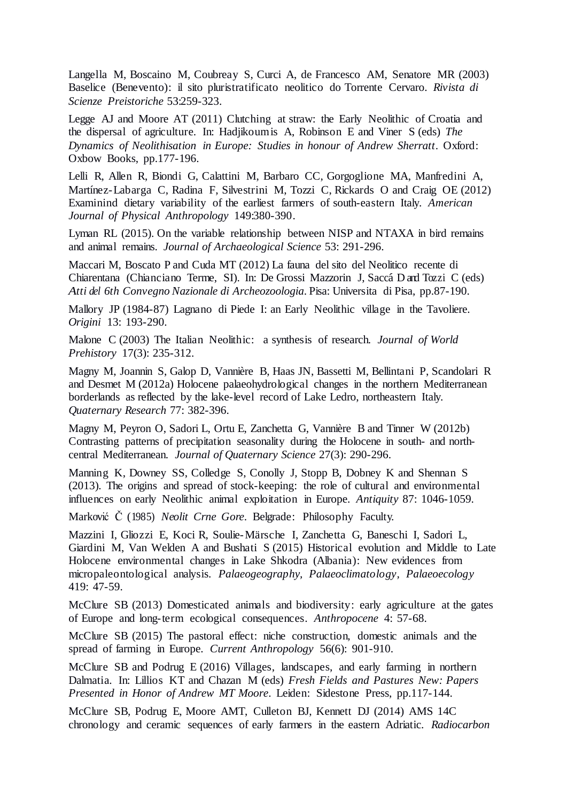Langella M, Boscaino M, Coubreay S, Curci A, de Francesco AM, Senatore MR (2003) Baselice (Benevento): il sito pluristratificato neolitico do Torrente Cervaro. *Rivista di Scienze Preistoriche* 53:259-323.

Legge AJ and Moore AT (2011) Clutching at straw: the Early Neolithic of Croatia and the dispersal of agriculture. In: Hadjikoumis A, Robinson E and Viner S (eds) *The Dynamics of Neolithisation in Europe: Studies in honour of Andrew Sherratt*. Oxford: Oxbow Books, pp.177-196.

Lelli R, Allen R, Biondi G, Calattini M, Barbaro CC, Gorgoglione MA, Manfredini A, Martínez-Labarga C, Radina F, Silvestrini M, Tozzi C, Rickards O and Craig OE (2012) Examinind dietary variability of the earliest farmers of south-eastern Italy. *American Journal of Physical Anthropology* 149:380-390.

Lyman RL (2015). On the variable relationship between NISP and NTAXA in bird remains and animal remains. *Journal of Archaeological Science* 53: 291-296.

Maccari M, Boscato P and Cuda MT (2012) La fauna del sito del Neolitico recente di Chiarentana (Chianciano Terme, SI). In: De Grossi Mazzorin J, Sacca´ D and Tozzi C (eds) *Atti del 6th Convegno Nazionale di Archeozoologia*. Pisa: Universita di Pisa, pp.87-190.

Mallory JP (1984-87) Lagnano di Piede I: an Early Neolithic village in the Tavoliere. *Origini* 13: 193-290.

Malone C (2003) The Italian Neolithic: a synthesis of research. *Journal of World Prehistory* 17(3): 235-312.

Magny M, Joannin S, Galop D, Vannière B, Haas JN, Bassetti M, Bellintani P, Scandolari R and Desmet M (2012a) Holocene palaeohydrological changes in the northern Mediterranean borderlands as reflected by the lake-level record of Lake Ledro, northeastern Italy. *Quaternary Research* 77: 382-396.

Magny M, Peyron O, Sadori L, Ortu E, Zanchetta G, Vannière B and Tinner W (2012b) Contrasting patterns of precipitation seasonality during the Holocene in south- and northcentral Mediterranean. *Journal of Quaternary Science* 27(3): 290-296.

Manning K, Downey SS, Colledge S, Conolly J, Stopp B, Dobney K and Shennan S (2013). The origins and spread of stock-keeping: the role of cultural and environmental influences on early Neolithic animal exploitation in Europe. *Antiquity* 87: 1046-1059.

Marković Č. (1985) *Neolit Crne Gore*. Belgrade: Philosophy Faculty.

Mazzini I, Gliozzi E, Koci R, Soulie-Märsche I, Zanchetta G, Baneschi I, Sadori L, Giardini M, Van Welden A and Bushati S (2015) Historical evolution and Middle to Late Holocene environmental changes in Lake Shkodra (Albania): New evidences from micropaleontological analysis. *Palaeogeography, Palaeoclimatology, Palaeoecology* 419: 47-59.

McClure SB (2013) Domesticated animals and biodiversity: early agriculture at the gates of Europe and long-term ecological consequences. *Anthropocene* 4: 57-68.

McClure SB (2015) The pastoral effect: niche construction, domestic animals and the spread of farming in Europe. *Current Anthropology* 56(6): 901-910.

McClure SB and Podrug E (2016) Villages, landscapes, and early farming in northern Dalmatia. In: Lillios KT and Chazan M (eds) *Fresh Fields and Pastures New: Papers Presented in Honor of Andrew MT Moore*. Leiden: Sidestone Press, pp.117-144.

McClure SB, Podrug E, Moore AMT, Culleton BJ, Kennett DJ (2014) AMS 14C chronology and ceramic sequences of early farmers in the eastern Adriatic. *Radiocarbon*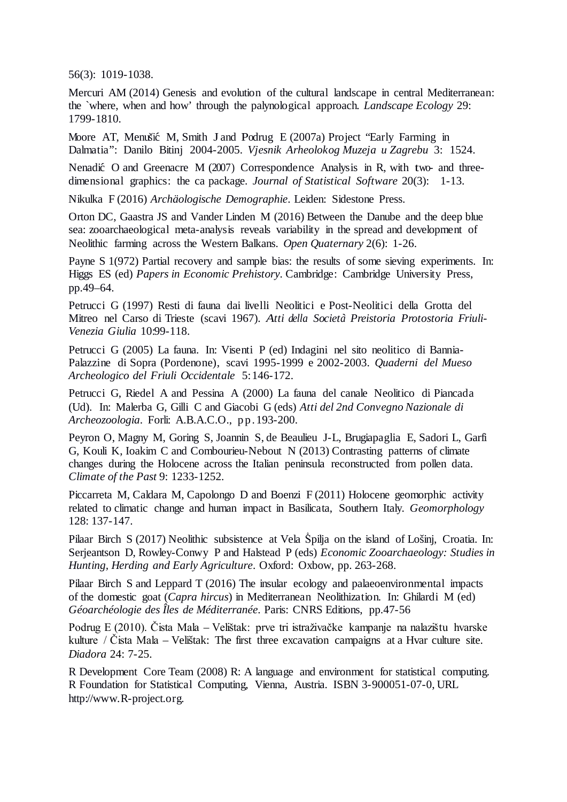56(3): 1019-1038.

Mercuri AM (2014) Genesis and evolution of the cultural landscape in central Mediterranean: the `where, when and how' through the palynological approach. *Landscape Ecology* 29: 1799-1810.

Moore AT, Menušić M, Smith J and Podrug E (2007a) Project "Early Farming in Dalmatia": Danilo Bitinj 2004-2005. *Vjesnik Arheolokog Muzeja u Zagrebu* 3: 1524.

Nenadić O and Greenacre M (2007) Correspondence Analysis in R, with two- and threedimensional graphics: the ca package. *Journal of Statistical Software* 20(3): 1-13.

Nikulka F (2016) *Archäologische Demographie*. Leiden: Sidestone Press.

Orton DC, Gaastra JS and Vander Linden M (2016) Between the Danube and the deep blue sea: zooarchaeological meta-analysis reveals variability in the spread and development of Neolithic farming across the Western Balkans. *Open Quaternary* 2(6): 1-26.

Payne S 1(972) Partial recovery and sample bias: the results of some sieving experiments. In: Higgs ES (ed) *Papers in Economic Prehistory*. Cambridge: Cambridge University Press, pp.49–64.

Petrucci G (1997) Resti di fauna dai livelli Neolitici e Post-Neolitici della Grotta del Mitreo nel Carso di Trieste (scavi 1967). *Atti della Societ`a Preistoria Protostoria Friuli-Venezia Giulia* 10:99-118.

Petrucci G (2005) La fauna. In: Visenti P (ed) Indagini nel sito neolitico di Bannia-Palazzine di Sopra (Pordenone), scavi 1995-1999 e 2002-2003. *Quaderni del Mueso Archeologico del Friuli Occidentale* 5:146-172.

Petrucci G, Riedel A and Pessina A (2000) La fauna del canale Neolitico di Piancada (Ud). In: Malerba G, Gilli C and Giacobi G (eds) *Atti del 2nd Convegno Nazionale di Archeozoologia*. Forli: A.B.A.C.O., pp.193-200.

Peyron O, Magny M, Goring S, Joannin S, de Beaulieu J-L, Brugiapaglia E, Sadori L, Garfi G, Kouli K, Ioakim C and Combourieu-Nebout N (2013) Contrasting patterns of climate changes during the Holocene across the Italian peninsula reconstructed from pollen data. *Climate of the Past* 9: 1233-1252.

Piccarreta M, Caldara M, Capolongo D and Boenzi F (2011) Holocene geomorphic activity related to climatic change and human impact in Basilicata, Southern Italy. *Geomorphology*  128: 137-147.

Pilaar Birch S (2017) Neolithic subsistence at Vela Špilja on the island of Lošinj, Croatia. In: Serjeantson D, Rowley-Conwy P and Halstead P (eds) *Economic Zooarchaeology: Studies in Hunting, Herding and Early Agriculture*. Oxford: Oxbow, pp. 263-268.

Pilaar Birch S and Leppard T (2016) The insular ecology and palaeoenvironmental impacts of the domestic goat (*Capra hircus*) in Mediterranean Neolithization. In: Ghilardi M (ed) *Géoarchéologie des Îles de Méditerranée*. Paris: CNRS Editions, pp.47-56

Podrug E (2010). Čista Mala – Velištak: prve tri istraživačke kampanje na nalazištu hvarske kulture / Čista Mala – Velištak: The first three excavation campaigns at a Hvar culture site. *Diadora* 24: 7-25.

R Development Core Team (2008) R: A language and environment for statistical computing. R Foundation for Statistical Computing, Vienna, Austria. ISBN 3-900051-07-0, URL http://www.R-project.org.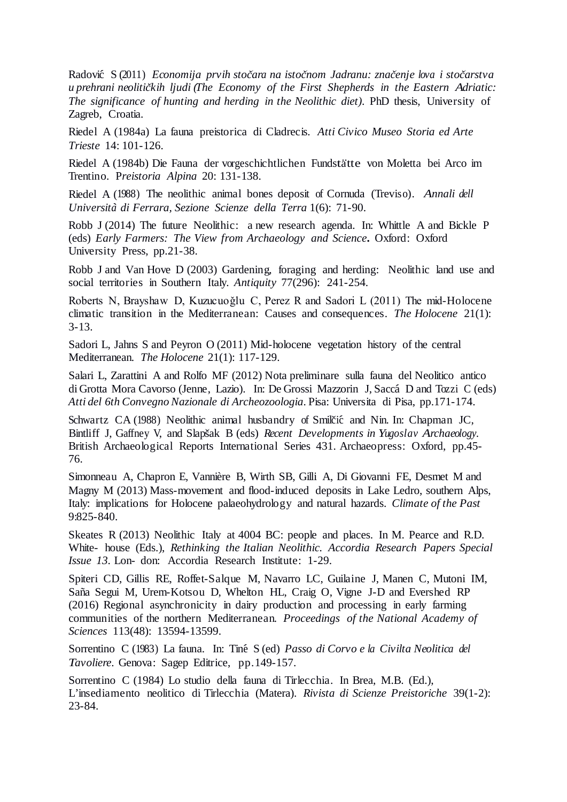Radovi´c S (2011) *Economija prvih stoˇcara na istoˇcnom Jadranu: znaˇcenje lova i stoˇcarstva u prehrani neolitiˇckih ljudi (The Economy of the First Shepherds in the Eastern Adriatic: The significance of hunting and herding in the Neolithic diet)*. PhD thesis, University of Zagreb, Croatia.

Riedel A (1984a) La fauna preistorica di Cladrecis. *Atti Civico Museo Storia ed Arte Trieste* 14: 101-126.

Riedel A (1984b) Die Fauna der vorgeschichtlichen Fundstätte von Moletta bei Arco im Trentino. P*reistoria Alpina* 20: 131-138.

Riedel A (1988) The neolithic animal bones deposit of Cornuda (Treviso). *Annali dell Universit`a di Ferrara, Sezione Scienze della Terra* 1(6): 71-90.

Robb J (2014) The future Neolithic: a new research agenda. In: Whittle A and Bickle P (eds) *Early Farmers: The View from Archaeology and Science***.** Oxford: Oxford University Press, pp.21-38.

Robb J and Van Hove D (2003) Gardening, foraging and herding: Neolithic land use and social territories in Southern Italy. *Antiquity* 77(296): 241-254.

Roberts N, Brayshaw D, Kuzucuoğlu C, Perez R and Sadori L (2011) The mid-Holocene climatic transition in the Mediterranean: Causes and consequences. *The Holocene* 21(1): 3-13.

Sadori L, Jahns S and Peyron O (2011) Mid-holocene vegetation history of the central Mediterranean. *The Holocene* 21(1): 117-129.

Salari L, Zarattini A and Rolfo MF (2012) Nota preliminare sulla fauna del Neolitico antico di Grotta Mora Cavorso (Jenne, Lazio). In: De Grossi Mazzorin J, Sacca´ D and Tozzi C (eds) *Atti del 6th Convegno Nazionale di Archeozoologia*. Pisa: Universita di Pisa, pp.171-174.

Schwartz CA (1988) Neolithic animal husbandry of Smilčić and Nin. In: Chapman JC, Bintliff J, Gaffney V, and Slapšak B (eds) *Recent Developments* in *Yugoslav Archaeology*. British Archaeological Reports International Series 431. Archaeopress: Oxford, pp.45- 76.

Simonneau A, Chapron E, Vannière B, Wirth SB, Gilli A, Di Giovanni FE, Desmet M and Magny M (2013) Mass-movement and flood-induced deposits in Lake Ledro, southern Alps, Italy: implications for Holocene palaeohydrology and natural hazards. *Climate of the Past* 9:825-840.

Skeates R (2013) Neolithic Italy at 4004 BC: people and places. In M. Pearce and R.D. White- house (Eds.), *Rethinking the Italian Neolithic. Accordia Research Papers Special Issue 13*. Lon- don: Accordia Research Institute: 1-29.

Spiteri CD, Gillis RE, Roffet-Salque M, Navarro LC, Guilaine J, Manen C, Mutoni IM, Saña Segui M, Urem-Kotsou D, Whelton HL, Craig O, Vigne J-D and Evershed RP (2016) Regional asynchronicity in dairy production and processing in early farming communities of the northern Mediterranean. *Proceedings of the National Academy of Sciences* 113(48): 13594-13599.

Sorrentino C (1983) La fauna. In: Tin´e S (ed) *Passo di Corvo e la Civilta Neolitica del Tavoliere*. Genova: Sagep Editrice, pp.149-157.

Sorrentino C (1984) Lo studio della fauna di Tirlecchia. In Brea, M.B. (Ed.), L'insediamento neolitico di Tirlecchia (Matera). *Rivista di Scienze Preistoriche* 39(1-2): 23-84.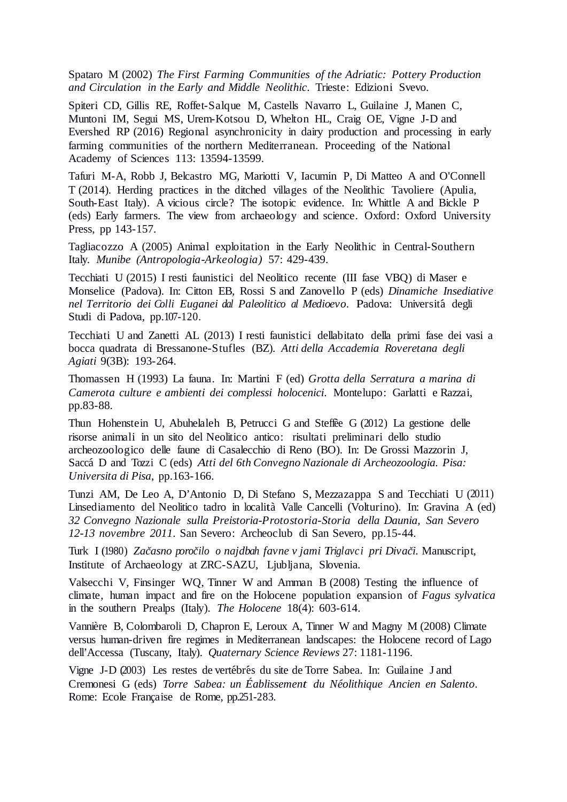Spataro M (2002) *The First Farming Communities of the Adriatic: Pottery Production and Circulation in the Early and Middle Neolithic*. Trieste: Edizioni Svevo.

Spiteri CD, Gillis RE, Roffet-Salque M, Castells Navarro L, Guilaine J, Manen C, Muntoni IM, Segui MS, Urem-Kotsou D, Whelton HL, Craig OE, Vigne J-D and Evershed RP (2016) Regional asynchronicity in dairy production and processing in early farming communities of the northern Mediterranean. Proceeding of the National Academy of Sciences 113: 13594-13599.

Tafuri M-A, Robb J, Belcastro MG, Mariotti V, Iacumin P, Di Matteo A and O'Connell T (2014). Herding practices in the ditched villages of the Neolithic Tavoliere (Apulia, South-East Italy). A vicious circle? The isotopic evidence. In: Whittle A and Bickle P (eds) Early farmers. The view from archaeology and science. Oxford: Oxford University Press, pp 143-157.

Tagliacozzo A (2005) Animal exploitation in the Early Neolithic in Central-Southern Italy. *Munibe (Antropologia-Arkeologia)* 57: 429-439.

Tecchiati U (2015) I resti faunistici del Neolitico recente (III fase VBQ) di Maser e Monselice (Padova). In: Citton EB, Rossi S and Zanovello P (eds) *Dinamiche Insediative nel Territorio dei Colli Euganei dal Paleolitico al Medioevo*. Padova: Universit´a degli Studi di Padova, pp.107-120.

Tecchiati U and Zanetti AL (2013) I resti faunistici dellabitato della primi fase dei vasi a bocca quadrata di Bressanone-Stufles (BZ). *Atti della Accademia Roveretana degli Agiati* 9(3B): 193-264.

Thomassen H (1993) La fauna. In: Martini F (ed) *Grotta della Serratura a marina di Camerota culture e ambienti dei complessi holocenici*. Montelupo: Garlatti e Razzai, pp.83-88.

Thun Hohenstein U, Abuhelaleh B, Petrucci G and Steffee G (2012) La gestione delle risorse animali in un sito del Neolitico antico: risultati preliminari dello studio archeozoologico delle faune di Casalecchio di Reno (BO). In: De Grossi Mazzorin J, Saccá D and Tozzi C (eds) Atti del 6th Convegno Nazionale di Archeozoologia. Pisa: *Universita di Pisa*, pp.163-166.

Tunzi AM, De Leo A, D'Antonio D, Di Stefano S, Mezzazappa S and Tecchiati U (2011) Linsediamento del Neolitico tadro in localita` Valle Cancelli (Volturino). In: Gravina A (ed) *32 Convegno Nazionale sulla Preistoria-Protostoria-Storia della Daunia, San Severo 12-13 novembre 2011*. San Severo: Archeoclub di San Severo, pp.15-44.

Turk I (1980) *Zaˇcasno poroˇcilo <sup>o</sup> najdbah favne v jami Triglavci pri Divaˇci*. Manuscript, Institute of Archaeology at ZRC-SAZU, Ljubljana, Slovenia.

Valsecchi V, Finsinger WQ, Tinner W and Amman B (2008) Testing the influence of climate, human impact and fire on the Holocene population expansion of *Fagus sylvatica* in the southern Prealps (Italy). *The Holocene* 18(4): 603-614.

Vannière B, Colombaroli D, Chapron E, Leroux A, Tinner W and Magny M (2008) Climate versus human-driven fire regimes in Mediterranean landscapes: the Holocene record of Lago dell'Accessa (Tuscany, Italy). *Quaternary Science Reviews* 27: 1181-1196.

Vigne J-D (2003) Les restes de vertébrés du site de Torre Sabea. In: Guilaine J and Cremonesi G (eds) *Torre Sabea: un Éablissement du N´eolithique Ancien en Salento*. Rome: Ecole Française de Rome, pp.251-283.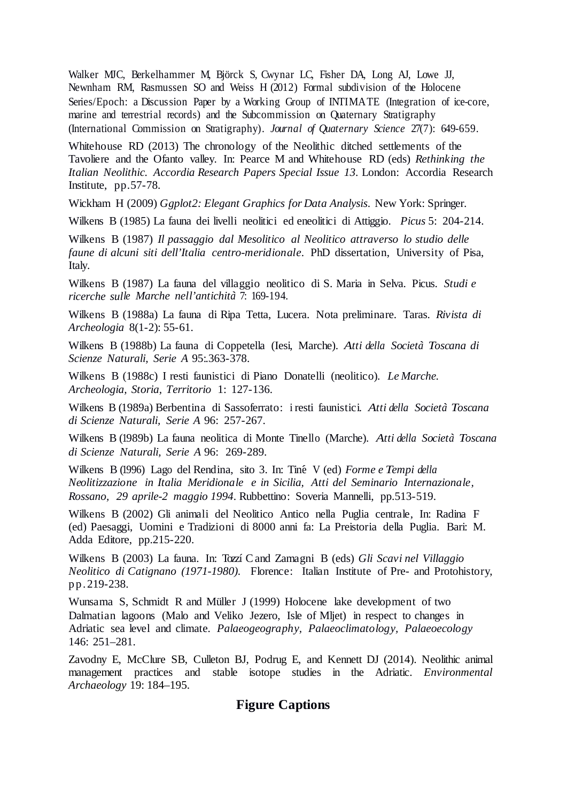Walker MJC, Berkelhammer M, Björck S, Cwynar LC, Fisher DA, Long AJ, Lowe JJ, Newnham RM, Rasmussen SO and Weiss H (2012) Formal subdivision of the Holocene Series/Epoch: a Discussion Paper by a Working Group of INTIMATE (Integration of ice-core, marine and terrestrial records) and the Subcommission on Quaternary Stratigraphy (International Commission on Stratigraphy). *Journal of Quaternary Science* 27(7): 649-659.

Whitehouse RD (2013) The chronology of the Neolithic ditched settlements of the Tavoliere and the Ofanto valley. In: Pearce M and Whitehouse RD (eds) *Rethinking the Italian Neolithic. Accordia Research Papers Special Issue 13*. London: Accordia Research Institute, pp.57-78.

Wickham H (2009) *Ggplot2: Elegant Graphics for Data Analysis*. New York: Springer.

Wilkens B (1985) La fauna dei livelli neolitici ed eneolitici di Attiggio. *Picus* 5: 204-214.

Wilkens B (1987) *Il passaggio dal Mesolitico al Neolitico attraverso lo studio delle faune di alcuni siti dell'Italia centro-meridionale*. PhD dissertation, University of Pisa, Italy.

Wilkens B (1987) La fauna del villaggio neolitico di S. Maria in Selva. Picus. *Studi e ricerche sulle Marche nell'antichit`a* 7: 169-194.

Wilkens B (1988a) La fauna di Ripa Tetta, Lucera. Nota preliminare. Taras. *Rivista di Archeologia* 8(1-2): 55-61.

Wilkens B (1988b) La fauna di Coppetella (Iesi, Marche). *Atti della Societ`a Toscana di Scienze Naturali, Serie A* 95:.363-378.

Wilkens B (1988c) I resti faunistici di Piano Donatelli (neolitico). *Le Marche. Archeologia, Storia, Territorio* 1: 127-136.

Wilkens B (1989a) Berbentina di Sassoferrato: <sup>i</sup> resti faunistici. *Atti della Societ`a Toscana di Scienze Naturali, Serie A* 96: 257-267.

Wilkens B (1989b) La fauna neolitica di Monte Tinello (Marche). Atti della Società Toscana *di Scienze Naturali, Serie A* 96: 269-289.

Wilkens B (1996) Lago del Rendina, sito 3. In: Tin´e V (ed) *Forme e Tempi della Neolitizzazione in Italia Meridionale e in Sicilia, Atti del Seminario Internazionale, Rossano, 29 aprile-2 maggio 1994*. Rubbettino: Soveria Mannelli, pp.513-519.

Wilkens B (2002) Gli animali del Neolitico Antico nella Puglia centrale, In: Radina F (ed) Paesaggi, Uomini e Tradizioni di 8000 anni fa: La Preistoria della Puglia. Bari: M. Adda Editore, pp.215-220.

Wilkens B (2003) La fauna. In: Tozzí C and Zamagni B (eds) *Gli Scavi nel Villaggio Neolitico di Catignano (1971-1980)*. Florence: Italian Institute of Pre- and Protohistory, pp.219-238.

Wunsama S, Schmidt R and Müller J (1999) Holocene lake development of two Dalmatian lagoons (Malo and Veliko Jezero, Isle of Mljet) in respect to changes in Adriatic sea level and climate. *Palaeogeography, Palaeoclimatology, Palaeoecology*  146: 251–281.

Zavodny E, McClure SB, Culleton BJ, Podrug E, and Kennett DJ (2014). Neolithic animal management practices and stable isotope studies in the Adriatic. *Environmental Archaeology* 19: 184–195.

### **Figure Captions**